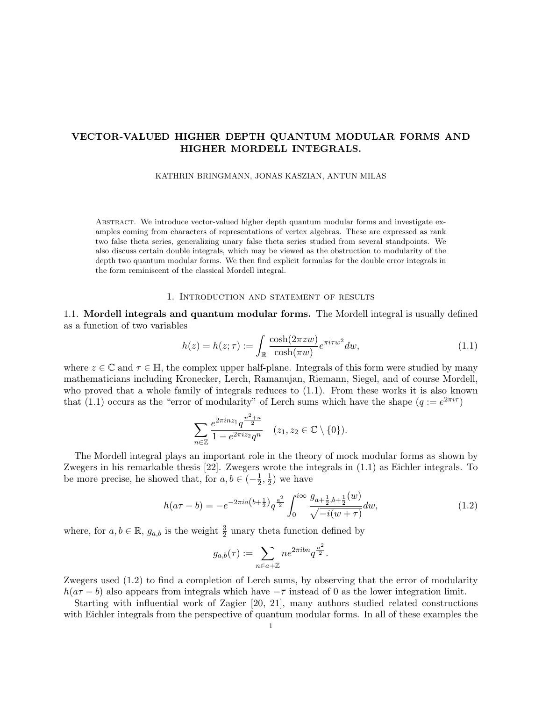KATHRIN BRINGMANN, JONAS KASZIAN, ANTUN MILAS

Abstract. We introduce vector-valued higher depth quantum modular forms and investigate examples coming from characters of representations of vertex algebras. These are expressed as rank two false theta series, generalizing unary false theta series studied from several standpoints. We also discuss certain double integrals, which may be viewed as the obstruction to modularity of the depth two quantum modular forms. We then find explicit formulas for the double error integrals in the form reminiscent of the classical Mordell integral.

#### 1. Introduction and statement of results

1.1. Mordell integrals and quantum modular forms. The Mordell integral is usually defined as a function of two variables

$$
h(z) = h(z; \tau) := \int_{\mathbb{R}} \frac{\cosh(2\pi zw)}{\cosh(\pi w)} e^{\pi i \tau w^2} dw,
$$
\n(1.1)

where  $z \in \mathbb{C}$  and  $\tau \in \mathbb{H}$ , the complex upper half-plane. Integrals of this form were studied by many mathematicians including Kronecker, Lerch, Ramanujan, Riemann, Siegel, and of course Mordell, who proved that a whole family of integrals reduces to (1.1). From these works it is also known that (1.1) occurs as the "error of modularity" of Lerch sums which have the shape  $(q := e^{2\pi i \tau})$ 

$$
\sum_{n\in\mathbb{Z}}\frac{e^{2\pi i nz_1}q^{\frac{n^2+n}{2}}}{1-e^{2\pi i z_2}q^n} \quad (z_1, z_2 \in \mathbb{C} \setminus \{0\}).
$$

The Mordell integral plays an important role in the theory of mock modular forms as shown by Zwegers in his remarkable thesis [22]. Zwegers wrote the integrals in (1.1) as Eichler integrals. To be more precise, he showed that, for  $a, b \in (-\frac{1}{2})$  $\frac{1}{2}, \frac{1}{2}$  $(\frac{1}{2})$  we have

$$
h(a\tau - b) = -e^{-2\pi i a \left(b + \frac{1}{2}\right)} q^{\frac{a^2}{2}} \int_0^{i\infty} \frac{g_{a + \frac{1}{2}, b + \frac{1}{2}}(w)}{\sqrt{-i(w + \tau)}} dw, \tag{1.2}
$$

where, for  $a, b \in \mathbb{R}$ ,  $g_{a,b}$  is the weight  $\frac{3}{2}$  unary theta function defined by

$$
g_{a,b}(\tau) := \sum_{n \in a + \mathbb{Z}} n e^{2\pi i b n} q^{\frac{n^2}{2}}.
$$

Zwegers used (1.2) to find a completion of Lerch sums, by observing that the error of modularity  $h(a\tau - b)$  also appears from integrals which have  $-\overline{\tau}$  instead of 0 as the lower integration limit.

Starting with influential work of Zagier [20, 21], many authors studied related constructions with Eichler integrals from the perspective of quantum modular forms. In all of these examples the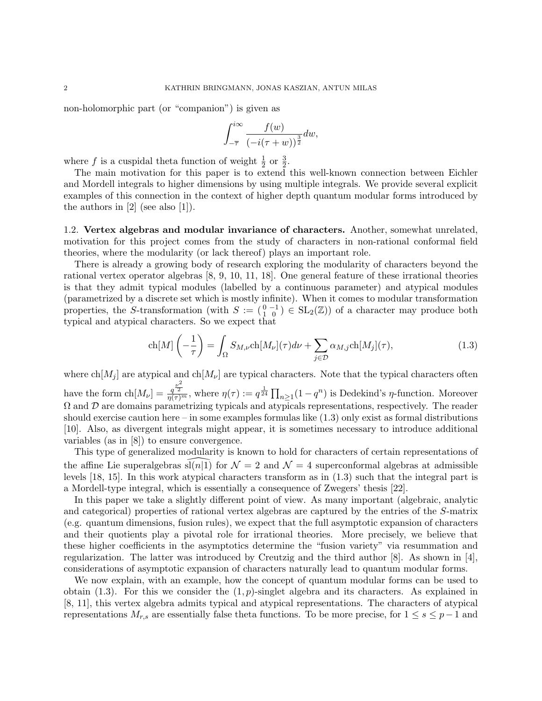non-holomorphic part (or "companion") is given as

$$
\int_{-\overline{\tau}}^{i\infty} \frac{f(w)}{(-i(\tau+w))^{\frac{3}{2}}} dw,
$$

where f is a cuspidal theta function of weight  $\frac{1}{2}$  or  $\frac{3}{2}$ .

The main motivation for this paper is to extend this well-known connection between Eichler and Mordell integrals to higher dimensions by using multiple integrals. We provide several explicit examples of this connection in the context of higher depth quantum modular forms introduced by the authors in [2] (see also [1]).

1.2. Vertex algebras and modular invariance of characters. Another, somewhat unrelated, motivation for this project comes from the study of characters in non-rational conformal field theories, where the modularity (or lack thereof) plays an important role.

There is already a growing body of research exploring the modularity of characters beyond the rational vertex operator algebras [8, 9, 10, 11, 18]. One general feature of these irrational theories is that they admit typical modules (labelled by a continuous parameter) and atypical modules (parametrized by a discrete set which is mostly infinite). When it comes to modular transformation properties, the S-transformation (with  $S := \begin{pmatrix} 0 & -1 \\ 1 & 0 \end{pmatrix} \in SL_2(\mathbb{Z})$ ) of a character may produce both typical and atypical characters. So we expect that

$$
\operatorname{ch}[M] \left( -\frac{1}{\tau} \right) = \int_{\Omega} S_{M,\nu} \operatorname{ch}[M_{\nu}](\tau) d\nu + \sum_{j \in \mathcal{D}} \alpha_{M,j} \operatorname{ch}[M_{j}](\tau), \tag{1.3}
$$

where  $\text{ch}[M_i]$  are atypical and  $\text{ch}[M_{\nu}]$  are typical characters. Note that the typical characters often have the form  $\text{ch}[M_{\nu}] = \frac{q^{\frac{\nu^2}{2}}}{\eta(\tau)^m}$ , where  $\eta(\tau) := q^{\frac{1}{24}} \prod_{n \geq 1} (1 - q^n)$  is Dedekind's  $\eta$ -function. Moreover  $\Omega$  and  $\mathcal D$  are domains parametrizing typicals and atypicals representations, respectively. The reader should exercise caution here – in some examples formulas like  $(1.3)$  only exist as formal distributions [10]. Also, as divergent integrals might appear, it is sometimes necessary to introduce additional variables (as in [8]) to ensure convergence.

This type of generalized modularity is known to hold for characters of certain representations of the affine Lie superalgebras  $\text{sl}(n|1)$  for  $\mathcal{N} = 2$  and  $\mathcal{N} = 4$  superconformal algebras at admissible levels [18, 15]. In this work atypical characters transform as in (1.3) such that the integral part is a Mordell-type integral, which is essentially a consequence of Zwegers' thesis [22].

In this paper we take a slightly different point of view. As many important (algebraic, analytic and categorical) properties of rational vertex algebras are captured by the entries of the S-matrix (e.g. quantum dimensions, fusion rules), we expect that the full asymptotic expansion of characters and their quotients play a pivotal role for irrational theories. More precisely, we believe that these higher coefficients in the asymptotics determine the "fusion variety" via resummation and regularization. The latter was introduced by Creutzig and the third author [8]. As shown in [4], considerations of asymptotic expansion of characters naturally lead to quantum modular forms.

We now explain, with an example, how the concept of quantum modular forms can be used to obtain  $(1.3)$ . For this we consider the  $(1, p)$ -singlet algebra and its characters. As explained in [8, 11], this vertex algebra admits typical and atypical representations. The characters of atypical representations  $M_{r,s}$  are essentially false theta functions. To be more precise, for  $1 \leq s \leq p-1$  and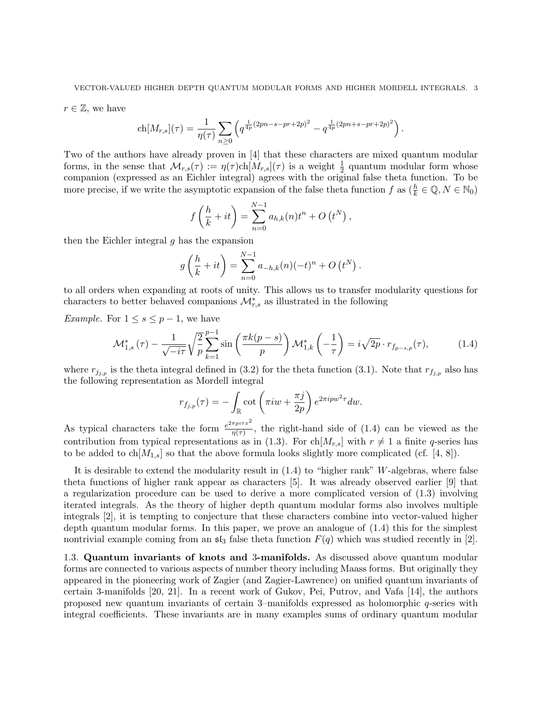$r \in \mathbb{Z}$ , we have

$$
ch[M_{r,s}](\tau) = \frac{1}{\eta(\tau)} \sum_{n\geq 0} \left( q^{\frac{1}{4p}(2pn-s-pr+2p)^2} - q^{\frac{1}{4p}(2pn+s-pr+2p)^2} \right).
$$

Two of the authors have already proven in [4] that these characters are mixed quantum modular forms, in the sense that  $\mathcal{M}_{r,s}(\tau) := \eta(\tau)ch[M_{r,s}](\tau)$  is a weight  $\frac{1}{2}$  quantum modular form whose companion (expressed as an Eichler integral) agrees with the original false theta function. To be more precise, if we write the asymptotic expansion of the false theta function  $f$  as  $(\frac{h}{k} \in \mathbb{Q}, N \in \mathbb{N}_0)$ 

$$
f\left(\frac{h}{k} + it\right) = \sum_{n=0}^{N-1} a_{h,k}(n)t^n + O(t^N),
$$

then the Eichler integral  $q$  has the expansion

$$
g\left(\frac{h}{k} + it\right) = \sum_{n=0}^{N-1} a_{-h,k}(n)(-t)^n + O(t^N).
$$

to all orders when expanding at roots of unity. This allows us to transfer modularity questions for characters to better behaved companions  $\mathcal{M}_{r,s}^*$  as illustrated in the following

*Example.* For  $1 \leq s \leq p-1$ , we have

$$
\mathcal{M}_{1,s}^*(\tau) - \frac{1}{\sqrt{-i\tau}} \sqrt{\frac{2}{p}} \sum_{k=1}^{p-1} \sin\left(\frac{\pi k(p-s)}{p}\right) \mathcal{M}_{1,k}^*\left(-\frac{1}{\tau}\right) = i\sqrt{2p} \cdot r_{f_{p-s,p}}(\tau),\tag{1.4}
$$

where  $r_{j_{j,p}}$  is the theta integral defined in (3.2) for the theta function (3.1). Note that  $r_{f_{j,p}}$  also has the following representation as Mordell integral

$$
r_{f_{j,p}}(\tau) = -\int_{\mathbb{R}} \cot\left(\pi i w + \frac{\pi j}{2p}\right) e^{2\pi i p w^2 \tau} dw.
$$

As typical characters take the form  $\frac{e^{2\pi pi\tau x^2}}{n(\tau)}$  $\frac{n\mu_{t}}{\eta(\tau)}$ , the right-hand side of (1.4) can be viewed as the contribution from typical representations as in (1.3). For ch $[M_{r,s}]$  with  $r \neq 1$  a finite q-series has to be added to  $ch[M_{1,s}]$  so that the above formula looks slightly more complicated (cf. [4, 8]).

It is desirable to extend the modularity result in  $(1.4)$  to "higher rank" W-algebras, where false theta functions of higher rank appear as characters [5]. It was already observed earlier [9] that a regularization procedure can be used to derive a more complicated version of (1.3) involving iterated integrals. As the theory of higher depth quantum modular forms also involves multiple integrals [2], it is tempting to conjecture that these characters combine into vector-valued higher depth quantum modular forms. In this paper, we prove an analogue of (1.4) this for the simplest nontrivial example coming from an  $\mathfrak{sl}_3$  false theta function  $F(q)$  which was studied recently in [2].

1.3. Quantum invariants of knots and 3-manifolds. As discussed above quantum modular forms are connected to various aspects of number theory including Maass forms. But originally they appeared in the pioneering work of Zagier (and Zagier-Lawrence) on unified quantum invariants of certain 3-manifolds [20, 21]. In a recent work of Gukov, Pei, Putrov, and Vafa [14], the authors proposed new quantum invariants of certain 3–manifolds expressed as holomorphic q-series with integral coefficients. These invariants are in many examples sums of ordinary quantum modular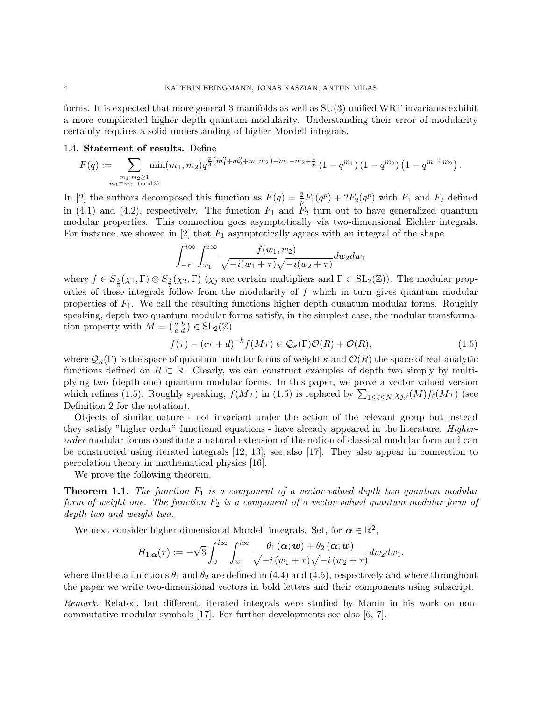forms. It is expected that more general 3-manifolds as well as SU(3) unified WRT invariants exhibit a more complicated higher depth quantum modularity. Understanding their error of modularity certainly requires a solid understanding of higher Mordell integrals.

# 1.4. Statement of results. Define

$$
F(q) := \sum_{\substack{m_1, m_2 \ge 1 \\ m_1 \equiv m_2 \pmod{3}}} \min(m_1, m_2) q^{\frac{p}{3}\left(m_1^2 + m_2^2 + m_1 m_2\right) - m_1 - m_2 + \frac{1}{p}} \left(1 - q^{m_1}\right) \left(1 - q^{m_2}\right) \left(1 - q^{m_1 + m_2}\right).
$$

In [2] the authors decomposed this function as  $F(q) = \frac{2}{p}F_1(q^p) + 2F_2(q^p)$  with  $F_1$  and  $F_2$  defined in (4.1) and (4.2), respectively. The function  $F_1$  and  $F_2$  turn out to have generalized quantum modular properties. This connection goes asymptotically via two-dimensional Eichler integrals. For instance, we showed in  $[2]$  that  $F_1$  asymptotically agrees with an integral of the shape

$$
\int_{-\overline{\tau}}^{i\infty} \int_{w_1}^{i\infty} \frac{f(w_1, w_2)}{\sqrt{-i(w_1 + \tau)}\sqrt{-i(w_2 + \tau)}} dw_2 dw_1
$$

where  $f \in S_{\frac{3}{2}}(\chi_1, \Gamma) \otimes S_{\frac{3}{2}}(\chi_2, \Gamma)$  ( $\chi_j$  are certain multipliers and  $\Gamma \subset SL_2(\mathbb{Z})$ ). The modular properties of these integrals follow from the modularity of  $f$  which in turn gives quantum modular properties of  $F_1$ . We call the resulting functions higher depth quantum modular forms. Roughly speaking, depth two quantum modular forms satisfy, in the simplest case, the modular transformation property with  $M = \begin{pmatrix} a & b \\ c & d \end{pmatrix} \in SL_2(\mathbb{Z})$ 

$$
f(\tau) - (c\tau + d)^{-k} f(M\tau) \in \mathcal{Q}_{\kappa}(\Gamma)\mathcal{O}(R) + \mathcal{O}(R),
$$
\n(1.5)

where  $\mathcal{Q}_{\kappa}(\Gamma)$  is the space of quantum modular forms of weight  $\kappa$  and  $\mathcal{O}(R)$  the space of real-analytic functions defined on  $R \subset \mathbb{R}$ . Clearly, we can construct examples of depth two simply by multiplying two (depth one) quantum modular forms. In this paper, we prove a vector-valued version which refines (1.5). Roughly speaking,  $f(M\tau)$  in (1.5) is replaced by  $\sum_{1\leq \ell \leq N} \chi_{j,\ell}(M) f_{\ell}(M\tau)$  (see Definition 2 for the notation).

Objects of similar nature - not invariant under the action of the relevant group but instead they satisfy "higher order" functional equations - have already appeared in the literature. Higherorder modular forms constitute a natural extension of the notion of classical modular form and can be constructed using iterated integrals [12, 13]; see also [17]. They also appear in connection to percolation theory in mathematical physics [16].

We prove the following theorem.

**Theorem 1.1.** The function  $F_1$  is a component of a vector-valued depth two quantum modular form of weight one. The function  $F_2$  is a component of a vector-valued quantum modular form of depth two and weight two.

We next consider higher-dimensional Mordell integrals. Set, for  $\alpha \in \mathbb{R}^2$ ,

$$
H_{1,\alpha}(\tau) := -\sqrt{3} \int_0^{i\infty} \int_{w_1}^{i\infty} \frac{\theta_1(\alpha; w) + \theta_2(\alpha; w)}{\sqrt{-i(w_1 + \tau)}\sqrt{-i(w_2 + \tau)}} dw_2 dw_1,
$$

where the theta functions  $\theta_1$  and  $\theta_2$  are defined in (4.4) and (4.5), respectively and where throughout the paper we write two-dimensional vectors in bold letters and their components using subscript.

Remark. Related, but different, iterated integrals were studied by Manin in his work on noncommutative modular symbols [17]. For further developments see also [6, 7].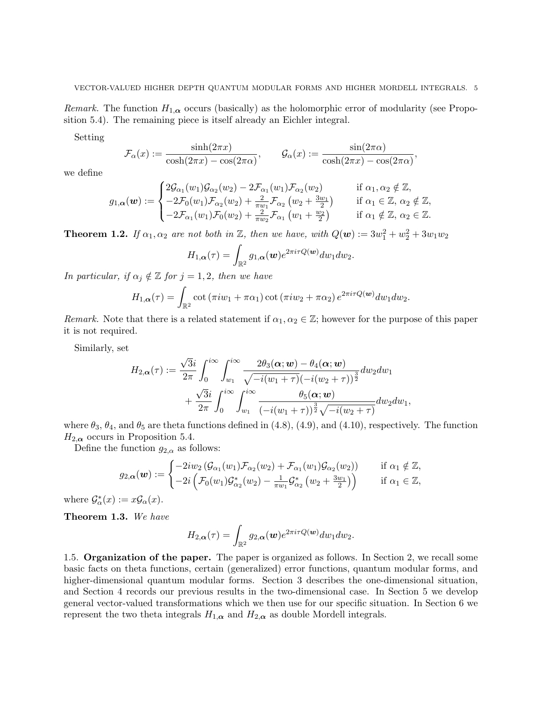Remark. The function  $H_{1,\alpha}$  occurs (basically) as the holomorphic error of modularity (see Proposition 5.4). The remaining piece is itself already an Eichler integral.

Setting

$$
\mathcal{F}_{\alpha}(x) := \frac{\sinh(2\pi x)}{\cosh(2\pi x) - \cos(2\pi \alpha)}, \qquad \mathcal{G}_{\alpha}(x) := \frac{\sin(2\pi \alpha)}{\cosh(2\pi x) - \cos(2\pi \alpha)},
$$

we define

$$
g_{1,\alpha}(\boldsymbol{w}) := \begin{cases} 2\mathcal{G}_{\alpha_1}(w_1)\mathcal{G}_{\alpha_2}(w_2) - 2\mathcal{F}_{\alpha_1}(w_1)\mathcal{F}_{\alpha_2}(w_2) & \text{if } \alpha_1, \alpha_2 \notin \mathbb{Z}, \\ -2\mathcal{F}_0(w_1)\mathcal{F}_{\alpha_2}(w_2) + \frac{2}{\pi w_1}\mathcal{F}_{\alpha_2}(w_2 + \frac{3w_1}{2}) & \text{if } \alpha_1 \in \mathbb{Z}, \alpha_2 \notin \mathbb{Z}, \\ -2\mathcal{F}_{\alpha_1}(w_1)\mathcal{F}_0(w_2) + \frac{2}{\pi w_2}\mathcal{F}_{\alpha_1}(w_1 + \frac{w_2}{2}) & \text{if } \alpha_1 \notin \mathbb{Z}, \alpha_2 \in \mathbb{Z}. \end{cases}
$$

**Theorem 1.2.** If  $\alpha_1, \alpha_2$  are not both in  $\mathbb{Z}$ , then we have, with  $Q(\mathbf{w}) := 3w_1^2 + w_2^2 + 3w_1w_2$ 

$$
H_{1,\alpha}(\tau)=\int_{\mathbb{R}^2}g_{1,\alpha}(\boldsymbol{w})e^{2\pi i\tau Q(\boldsymbol{w})}dw_1dw_2.
$$

In particular, if  $\alpha_j \notin \mathbb{Z}$  for  $j = 1, 2$ , then we have

$$
H_{1,\alpha}(\tau) = \int_{\mathbb{R}^2} \cot(\pi i w_1 + \pi \alpha_1) \cot(\pi i w_2 + \pi \alpha_2) e^{2\pi i \tau Q(\boldsymbol{w})} dw_1 dw_2.
$$

Remark. Note that there is a related statement if  $\alpha_1, \alpha_2 \in \mathbb{Z}$ ; however for the purpose of this paper it is not required.

Similarly, set

$$
H_{2,\alpha}(\tau) := \frac{\sqrt{3}i}{2\pi} \int_0^{i\infty} \int_{w_1}^{i\infty} \frac{2\theta_3(\alpha; w) - \theta_4(\alpha; w)}{\sqrt{-i(w_1 + \tau)} (-i(w_2 + \tau))^{\frac{3}{2}}} dw_2 dw_1 + \frac{\sqrt{3}i}{2\pi} \int_0^{i\infty} \int_{w_1}^{i\infty} \frac{\theta_5(\alpha; w)}{(-i(w_1 + \tau))^{\frac{3}{2}} \sqrt{-i(w_2 + \tau)}} dw_2 dw_1,
$$

where  $\theta_3$ ,  $\theta_4$ , and  $\theta_5$  are theta functions defined in (4.8), (4.9), and (4.10), respectively. The function  $H_{2,\alpha}$  occurs in Proposition 5.4.

Define the function  $g_{2,\alpha}$  as follows:

$$
g_{2,\alpha}(\boldsymbol{w}) := \begin{cases} -2iw_2\left(\mathcal{G}_{\alpha_1}(w_1)\mathcal{F}_{\alpha_2}(w_2) + \mathcal{F}_{\alpha_1}(w_1)\mathcal{G}_{\alpha_2}(w_2)\right) & \text{if } \alpha_1 \notin \mathbb{Z}, \\ -2i\left(\mathcal{F}_0(w_1)\mathcal{G}_{\alpha_2}^*(w_2) - \frac{1}{\pi w_1}\mathcal{G}_{\alpha_2}^*\left(w_2 + \frac{3w_1}{2}\right)\right) & \text{if } \alpha_1 \in \mathbb{Z}, \end{cases}
$$

where  $\mathcal{G}_{\alpha}^*(x) := x \mathcal{G}_{\alpha}(x)$ .

Theorem 1.3. We have

$$
H_{2,\alpha}(\tau) = \int_{\mathbb{R}^2} g_{2,\alpha}(\boldsymbol{w}) e^{2\pi i \tau Q(\boldsymbol{w})} dw_1 dw_2.
$$

1.5. Organization of the paper. The paper is organized as follows. In Section 2, we recall some basic facts on theta functions, certain (generalized) error functions, quantum modular forms, and higher-dimensional quantum modular forms. Section 3 describes the one-dimensional situation, and Section 4 records our previous results in the two-dimensional case. In Section 5 we develop general vector-valued transformations which we then use for our specific situation. In Section 6 we represent the two theta integrals  $H_{1,\alpha}$  and  $H_{2,\alpha}$  as double Mordell integrals.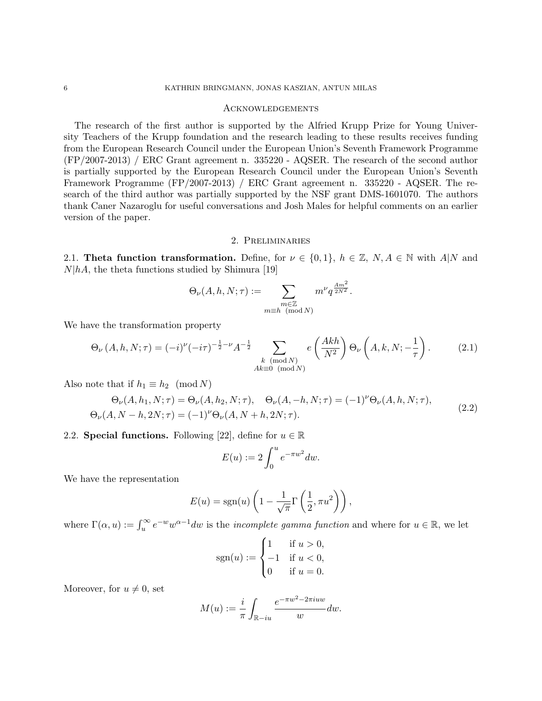#### Acknowledgements

The research of the first author is supported by the Alfried Krupp Prize for Young University Teachers of the Krupp foundation and the research leading to these results receives funding from the European Research Council under the European Union's Seventh Framework Programme (FP/2007-2013) / ERC Grant agreement n. 335220 - AQSER. The research of the second author is partially supported by the European Research Council under the European Union's Seventh Framework Programme (FP/2007-2013) / ERC Grant agreement n. 335220 - AQSER. The research of the third author was partially supported by the NSF grant DMS-1601070. The authors thank Caner Nazaroglu for useful conversations and Josh Males for helpful comments on an earlier version of the paper.

### 2. Preliminaries

2.1. Theta function transformation. Define, for  $\nu \in \{0,1\}$ ,  $h \in \mathbb{Z}$ ,  $N, A \in \mathbb{N}$  with  $A|N$  and  $N|hA$ , the theta functions studied by Shimura [19]

$$
\Theta_{\nu}(A, h, N; \tau) := \sum_{\substack{m \in \mathbb{Z} \\ m \equiv h \pmod{N}}} m^{\nu} q^{\frac{Am^2}{2N^2}}.
$$

We have the transformation property

$$
\Theta_{\nu}(A, h, N; \tau) = (-i)^{\nu} (-i\tau)^{-\frac{1}{2} - \nu} A^{-\frac{1}{2}} \sum_{\substack{k \pmod{N} \\ Ak \equiv 0 \pmod{N}}} e\left(\frac{Akh}{N^2}\right) \Theta_{\nu}\left(A, k, N; -\frac{1}{\tau}\right). \tag{2.1}
$$

Also note that if  $h_1 \equiv h_2 \pmod{N}$ 

$$
\Theta_{\nu}(A, h_1, N; \tau) = \Theta_{\nu}(A, h_2, N; \tau), \quad \Theta_{\nu}(A, -h, N; \tau) = (-1)^{\nu} \Theta_{\nu}(A, h, N; \tau), \n\Theta_{\nu}(A, N - h, 2N; \tau) = (-1)^{\nu} \Theta_{\nu}(A, N + h, 2N; \tau).
$$
\n(2.2)

2.2. Special functions. Following [22], define for  $u \in \mathbb{R}$ 

$$
E(u) := 2 \int_0^u e^{-\pi w^2} dw.
$$

We have the representation

$$
E(u) = \text{sgn}(u) \left( 1 - \frac{1}{\sqrt{\pi}} \Gamma\left(\frac{1}{2}, \pi u^2\right) \right),
$$

where  $\Gamma(\alpha, u) := \int_u^{\infty} e^{-w} w^{\alpha-1} dw$  is the *incomplete gamma function* and where for  $u \in \mathbb{R}$ , we let

$$
sgn(u) := \begin{cases} 1 & \text{if } u > 0, \\ -1 & \text{if } u < 0, \\ 0 & \text{if } u = 0. \end{cases}
$$

Moreover, for  $u \neq 0$ , set

$$
M(u) := \frac{i}{\pi} \int_{\mathbb{R} - iu} \frac{e^{-\pi w^2 - 2\pi iuw}}{w} dw.
$$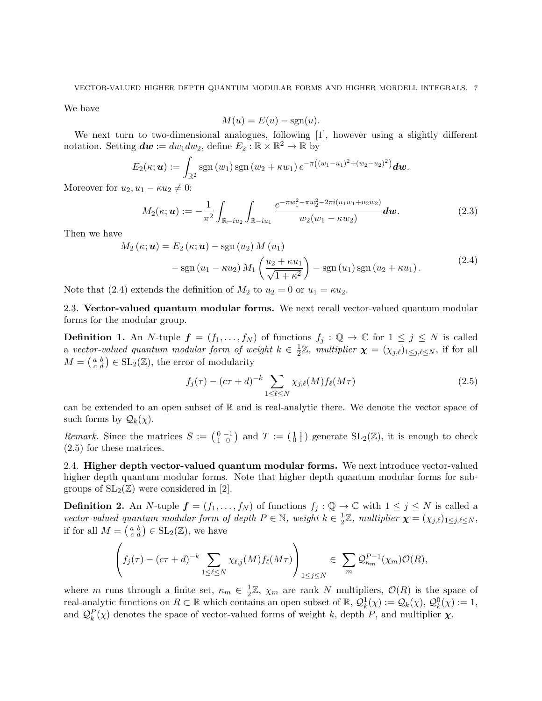We have

$$
M(u) = E(u) - \text{sgn}(u).
$$

We next turn to two-dimensional analogues, following [1], however using a slightly different notation. Setting  $dw := dw_1 dw_2$ , define  $E_2 : \mathbb{R} \times \mathbb{R}^2 \to \mathbb{R}$  by

$$
E_2(\kappa; \boldsymbol{u}) := \int_{\mathbb{R}^2} \operatorname{sgn}(w_1) \operatorname{sgn}(w_2 + \kappa w_1) e^{-\pi((w_1 - u_1)^2 + (w_2 - u_2)^2)} d\boldsymbol{w}.
$$

Moreover for  $u_2, u_1 - \kappa u_2 \neq 0$ :

$$
M_2(\kappa; \mathbf{u}) := -\frac{1}{\pi^2} \int_{\mathbb{R}-i u_2} \int_{\mathbb{R}-i u_1} \frac{e^{-\pi w_1^2 - \pi w_2^2 - 2\pi i (u_1 w_1 + u_2 w_2)}}{w_2(w_1 - \kappa w_2)} d\mathbf{w}.
$$
 (2.3)

Then we have

$$
M_2(\kappa; \mathbf{u}) = E_2(\kappa; \mathbf{u}) - \text{sgn}(u_2) M(u_1)
$$
  
- 
$$
\text{sgn}(u_1 - \kappa u_2) M_1\left(\frac{u_2 + \kappa u_1}{\sqrt{1 + \kappa^2}}\right) - \text{sgn}(u_1) \text{sgn}(u_2 + \kappa u_1).
$$
 (2.4)

Note that (2.4) extends the definition of  $M_2$  to  $u_2 = 0$  or  $u_1 = \kappa u_2$ .

2.3. Vector-valued quantum modular forms. We next recall vector-valued quantum modular forms for the modular group.

**Definition 1.** An N-tuple  $f = (f_1, \ldots, f_N)$  of functions  $f_j : \mathbb{Q} \to \mathbb{C}$  for  $1 \leq j \leq N$  is called a vector-valued quantum modular form of weight  $k \in \frac{1}{2}$  $\frac{1}{2}\mathbb{Z}$ , *multiplier*  $\boldsymbol{\chi} = (\chi_{j,\ell})_{1 \leq j,\ell \leq N}$ , if for all  $M = \begin{pmatrix} a & b \\ c & d \end{pmatrix} \in SL_2(\mathbb{Z})$ , the error of modularity

$$
f_j(\tau) - (c\tau + d)^{-k} \sum_{1 \le \ell \le N} \chi_{j,\ell}(M) f_\ell(M\tau) \tag{2.5}
$$

can be extended to an open subset of  $\mathbb R$  and is real-analytic there. We denote the vector space of such forms by  $\mathcal{Q}_k(\chi)$ .

Remark. Since the matrices  $S := \begin{pmatrix} 0 & -1 \\ 1 & 0 \end{pmatrix}$  and  $T := \begin{pmatrix} 1 & 1 \\ 0 & 1 \end{pmatrix}$  generate  $SL_2(\mathbb{Z})$ , it is enough to check (2.5) for these matrices.

2.4. Higher depth vector-valued quantum modular forms. We next introduce vector-valued higher depth quantum modular forms. Note that higher depth quantum modular forms for subgroups of  $SL_2(\mathbb{Z})$  were considered in [2].

**Definition 2.** An N-tuple  $f = (f_1, \ldots, f_N)$  of functions  $f_i : \mathbb{Q} \to \mathbb{C}$  with  $1 \leq j \leq N$  is called a vector-valued quantum modular form of depth  $P \in \mathbb{N}$ , weight  $k \in \frac{1}{2}$  $\frac{1}{2}\mathbb{Z}$ , multiplier  $\boldsymbol{\chi} = (\chi_{j,\ell})_{1 \leq j,\ell \leq N}$ , if for all  $M = \begin{pmatrix} a & b \\ c & d \end{pmatrix} \in SL_2(\mathbb{Z})$ , we have

$$
\left(f_j(\tau)-(c\tau+d)^{-k}\sum_{1\leq \ell\leq N}\chi_{\ell,j}(M)f_{\ell}(M\tau)\right)_{1\leq j\leq N}\in \sum_{m}\mathcal{Q}_{\kappa_m}^{P-1}(\chi_m)\mathcal{O}(R),
$$

where m runs through a finite set,  $\kappa_m \in \frac{1}{2}$  $\frac{1}{2}\mathbb{Z}, \chi_m$  are rank N multipliers,  $\mathcal{O}(R)$  is the space of real-analytic functions on  $R \subset \mathbb{R}$  which contains an open subset of  $\mathbb{R}$ ,  $\mathcal{Q}_k^1(\chi) := \mathcal{Q}_k(\chi)$ ,  $\mathcal{Q}_k^0(\chi) := 1$ , and  $\mathcal{Q}_k^P(\chi)$  denotes the space of vector-valued forms of weight k, depth P, and multiplier  $\chi$ .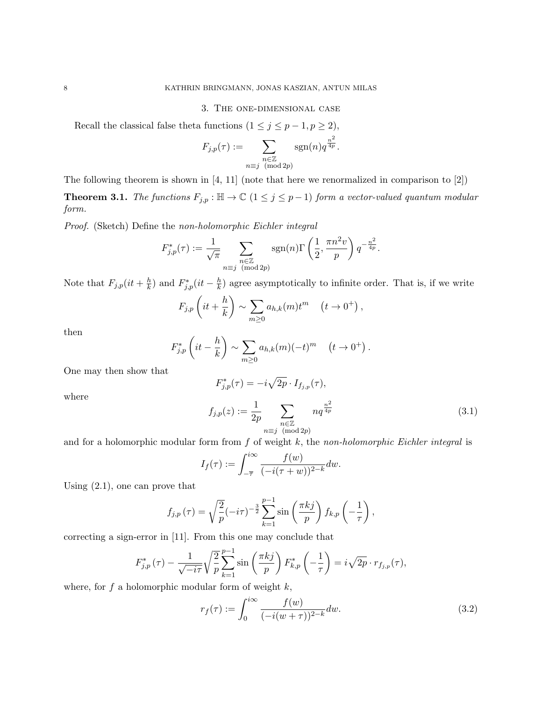### 3. The one-dimensional case

Recall the classical false theta functions  $(1 \le j \le p-1, p \ge 2)$ ,

$$
F_{j,p}(\tau) := \sum_{\substack{n \in \mathbb{Z} \\ n \equiv j \pmod{2p}}} \operatorname{sgn}(n) q^{\frac{n^2}{4p}}.
$$

The following theorem is shown in [4, 11] (note that here we renormalized in comparison to [2])

**Theorem 3.1.** The functions  $F_{j,p} : \mathbb{H} \to \mathbb{C}$   $(1 \leq j \leq p-1)$  form a vector-valued quantum modular form.

Proof. (Sketch) Define the non-holomorphic Eichler integral

$$
F_{j,p}^*(\tau) := \frac{1}{\sqrt{\pi}} \sum_{\substack{n \in \mathbb{Z} \\ n \equiv j \pmod{2p}}} \text{sgn}(n) \Gamma\left(\frac{1}{2}, \frac{\pi n^2 v}{p}\right) q^{-\frac{n^2}{4p}}.
$$

Note that  $F_{j,p}(it + \frac{h}{k})$  $\frac{h}{k}$ ) and  $F_{j,p}^*(it - \frac{h}{k})$  $\frac{h}{k}$ ) agree asymptotically to infinite order. That is, if we write

$$
F_{j,p}\left(it+\frac{h}{k}\right)\sim\sum_{m\geq 0}a_{h,k}(m)t^m\quad (t\to 0^+),
$$

then

$$
F_{j,p}^*\left(it-\frac{h}{k}\right) \sim \sum_{m\geq 0} a_{h,k}(m)(-t)^m \quad (t\to 0^+).
$$

One may then show that

$$
F_{j,p}^*(\tau) = -i\sqrt{2p} \cdot I_{f_{j,p}}(\tau),
$$

where

$$
f_{j,p}(z) := \frac{1}{2p} \sum_{\substack{n \in \mathbb{Z} \\ n \equiv j \pmod{2p}}} n q^{\frac{n^2}{4p}}
$$
(3.1)

and for a holomorphic modular form from  $f$  of weight  $k$ , the non-holomorphic Eichler integral is

$$
I_f(\tau) := \int_{-\overline{\tau}}^{i\infty} \frac{f(w)}{(-i(\tau+w))^{2-k}} dw.
$$

Using (2.1), one can prove that

$$
f_{j,p}(\tau) = \sqrt{\frac{2}{p}}(-i\tau)^{-\frac{3}{2}} \sum_{k=1}^{p-1} \sin\left(\frac{\pi kj}{p}\right) f_{k,p}\left(-\frac{1}{\tau}\right),\,
$$

correcting a sign-error in [11]. From this one may conclude that

$$
F_{j,p}^*(\tau) - \frac{1}{\sqrt{-i\tau}} \sqrt{\frac{2}{p}} \sum_{k=1}^{p-1} \sin\left(\frac{\pi kj}{p}\right) F_{k,p}^*\left(-\frac{1}{\tau}\right) = i\sqrt{2p} \cdot r_{f_{j,p}}(\tau),
$$

where, for  $f$  a holomorphic modular form of weight  $k$ ,

$$
r_f(\tau) := \int_0^{i\infty} \frac{f(w)}{(-i(w+\tau))^{2-k}} dw.
$$
\n(3.2)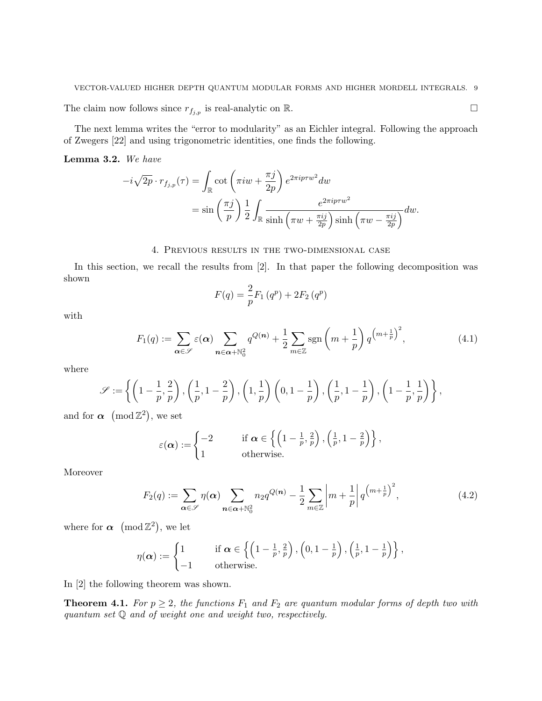The claim now follows since  $r_{f_{j,p}}$  is real-analytic on R.

The next lemma writes the "error to modularity" as an Eichler integral. Following the approach of Zwegers [22] and using trigonometric identities, one finds the following.

Lemma 3.2. We have

$$
-i\sqrt{2p} \cdot r_{f_{j,p}}(\tau) = \int_{\mathbb{R}} \cot\left(\pi i w + \frac{\pi j}{2p}\right) e^{2\pi i p \tau w^2} dw
$$
  
=  $\sin\left(\frac{\pi j}{p}\right) \frac{1}{2} \int_{\mathbb{R}} \frac{e^{2\pi i p \tau w^2}}{\sinh\left(\pi w + \frac{\pi i j}{2p}\right) \sinh\left(\pi w - \frac{\pi i j}{2p}\right)} dw.$ 

### 4. Previous results in the two-dimensional case

In this section, we recall the results from [2]. In that paper the following decomposition was shown

$$
F(q) = \frac{2}{p} F_1(q^p) + 2F_2(q^p)
$$

with

$$
F_1(q) := \sum_{\alpha \in \mathscr{S}} \varepsilon(\alpha) \sum_{n \in \alpha + \mathbb{N}_0^2} q^{Q(n)} + \frac{1}{2} \sum_{m \in \mathbb{Z}} \text{sgn}\left(m + \frac{1}{p}\right) q^{\left(m + \frac{1}{p}\right)^2},\tag{4.1}
$$

where

$$
\mathscr{S}:=\left\{\left(1-\frac{1}{p},\frac{2}{p}\right),\left(\frac{1}{p},1-\frac{2}{p}\right),\left(1,\frac{1}{p}\right)\left(0,1-\frac{1}{p}\right),\left(\frac{1}{p},1-\frac{1}{p}\right),\left(1-\frac{1}{p},\frac{1}{p}\right)\right\},
$$

and for  $\alpha \pmod{\mathbb{Z}^2}$ , we set

$$
\varepsilon(\boldsymbol{\alpha}) := \begin{cases} -2 & \text{if } \boldsymbol{\alpha} \in \left\{ \left(1 - \frac{1}{p}, \frac{2}{p}\right), \left(\frac{1}{p}, 1 - \frac{2}{p}\right) \right\}, \\ 1 & \text{otherwise.} \end{cases}
$$

Moreover

$$
F_2(q) := \sum_{\alpha \in \mathscr{S}} \eta(\alpha) \sum_{n \in \alpha + \mathbb{N}_0^2} n_2 q^{Q(n)} - \frac{1}{2} \sum_{m \in \mathbb{Z}} \left| m + \frac{1}{p} \right| q^{\left( m + \frac{1}{p} \right)^2},\tag{4.2}
$$

where for  $\alpha \pmod{\mathbb{Z}^2}$ , we let

$$
\eta(\boldsymbol{\alpha}) := \begin{cases} 1 & \text{if } \boldsymbol{\alpha} \in \left\{ \left(1 - \frac{1}{p}, \frac{2}{p}\right), \left(0, 1 - \frac{1}{p}\right), \left(\frac{1}{p}, 1 - \frac{1}{p}\right) \right\}, \\ -1 & \text{otherwise.} \end{cases}
$$

In [2] the following theorem was shown.

**Theorem 4.1.** For  $p \geq 2$ , the functions  $F_1$  and  $F_2$  are quantum modular forms of depth two with quantum set Q and of weight one and weight two, respectively.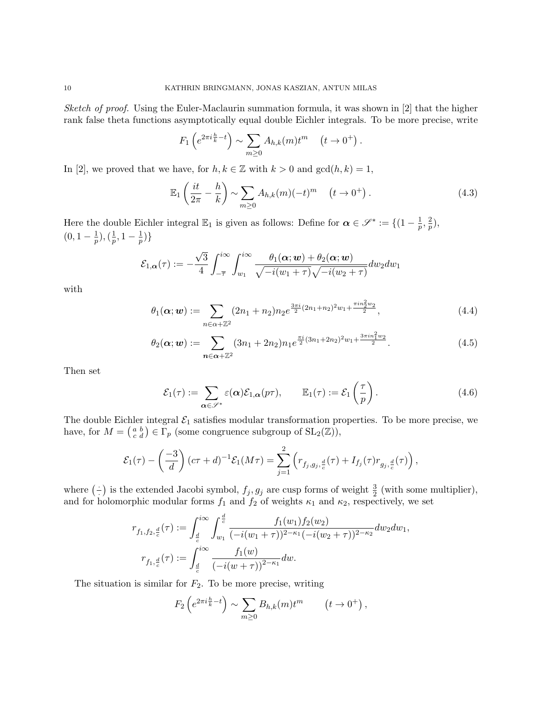Sketch of proof. Using the Euler-Maclaurin summation formula, it was shown in [2] that the higher rank false theta functions asymptotically equal double Eichler integrals. To be more precise, write

$$
F_1\left(e^{2\pi i\frac{h}{k}-t}\right) \sim \sum_{m\geq 0} A_{h,k}(m)t^m \quad (t \to 0^+).
$$

In [2], we proved that we have, for  $h, k \in \mathbb{Z}$  with  $k > 0$  and  $gcd(h, k) = 1$ ,

$$
\mathbb{E}_1\left(\frac{it}{2\pi} - \frac{h}{k}\right) \sim \sum_{m\geq 0} A_{h,k}(m)(-t)^m \quad \left(t \to 0^+\right). \tag{4.3}
$$

Here the double Eichler integral  $\mathbb{E}_1$  is given as follows: Define for  $\alpha \in \mathscr{S}^* := \{(1 - \frac{1}{n})\}$  $\frac{1}{p},\frac{2}{p}$  $\frac{2}{p}),$  $(0, 1 - \frac{1}{n})$  $(\frac{1}{p}),(\frac{1}{p}$  $\frac{1}{p}, 1-\frac{1}{p}$  $\frac{1}{p})\}$ 

$$
\mathcal{E}_{1,\alpha}(\tau) := -\frac{\sqrt{3}}{4} \int_{-\overline{\tau}}^{i\infty} \int_{w_1}^{i\infty} \frac{\theta_1(\alpha;w) + \theta_2(\alpha;w)}{\sqrt{-i(w_1 + \tau)}\sqrt{-i(w_2 + \tau)}} dw_2 dw_1
$$

with

$$
\theta_1(\alpha; w) := \sum_{n \in \alpha + \mathbb{Z}^2} (2n_1 + n_2) n_2 e^{\frac{3\pi i}{2} (2n_1 + n_2)^2 w_1 + \frac{\pi i n_2^2 w_2}{2}}, \qquad (4.4)
$$

$$
\theta_2(\alpha; w) := \sum_{n \in \alpha + \mathbb{Z}^2} (3n_1 + 2n_2) n_1 e^{\frac{\pi i}{2}(3n_1 + 2n_2)^2 w_1 + \frac{3\pi i n_1^2 w_2}{2}}.
$$
\n(4.5)

Then set

$$
\mathcal{E}_1(\tau) := \sum_{\alpha \in \mathscr{S}^*} \varepsilon(\alpha) \mathcal{E}_{1,\alpha}(p\tau), \qquad \mathbb{E}_1(\tau) := \mathcal{E}_1\left(\frac{\tau}{p}\right). \tag{4.6}
$$

The double Eichler integral  $\mathcal{E}_1$  satisfies modular transformation properties. To be more precise, we have, for  $M = \begin{pmatrix} a & b \\ c & d \end{pmatrix} \in \Gamma_p$  (some congruence subgroup of  $SL_2(\mathbb{Z})$ ),

$$
\mathcal{E}_1(\tau) - \left(\frac{-3}{d}\right)(c\tau + d)^{-1}\mathcal{E}_1(M\tau) = \sum_{j=1}^2 \left(r_{f_j,g_j,\frac{d}{c}}(\tau) + I_{f_j}(\tau)r_{g_j,\frac{d}{c}}(\tau)\right),
$$

where  $(\frac{1}{\cdot})$  $\frac{1}{2}$  is the extended Jacobi symbol,  $f_j, g_j$  are cusp forms of weight  $\frac{3}{2}$  (with some multiplier), and for holomorphic modular forms  $f_1$  and  $f_2$  of weights  $\kappa_1$  and  $\kappa_2$ , respectively, we set

$$
r_{f_1, f_2, \frac{d}{c}}(\tau) := \int_{\frac{d}{c}}^{i\infty} \int_{w_1}^{\frac{d}{c}} \frac{f_1(w_1) f_2(w_2)}{(-i(w_1 + \tau))^{2 - \kappa_1} (-i(w_2 + \tau))^{2 - \kappa_2}} dw_2 dw_1,
$$
  

$$
r_{f_1, \frac{d}{c}}(\tau) := \int_{\frac{d}{c}}^{i\infty} \frac{f_1(w)}{(-i(w + \tau))^{2 - \kappa_1}} dw.
$$

The situation is similar for  $F_2$ . To be more precise, writing

$$
F_2\left(e^{2\pi i\frac{h}{k}-t}\right) \sim \sum_{m\geq 0} B_{h,k}(m)t^m \qquad \left(t\to 0^+\right),
$$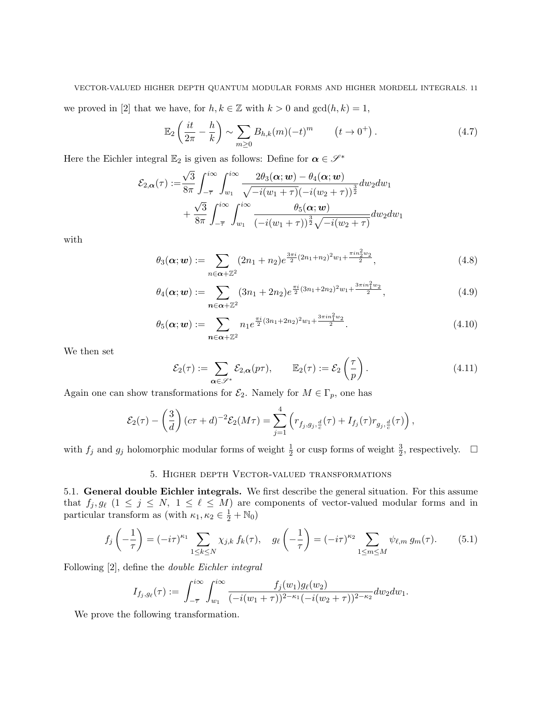we proved in [2] that we have, for  $h, k \in \mathbb{Z}$  with  $k > 0$  and  $gcd(h, k) = 1$ ,

$$
\mathbb{E}_2\left(\frac{it}{2\pi}-\frac{h}{k}\right) \sim \sum_{m\geq 0} B_{h,k}(m)(-t)^m \qquad \left(t\to 0^+\right). \tag{4.7}
$$

Here the Eichler integral  $\mathbb{E}_2$  is given as follows: Define for  $\alpha \in \mathcal{S}^*$ 

$$
\mathcal{E}_{2,\boldsymbol{\alpha}}(\tau) := \frac{\sqrt{3}}{8\pi} \int_{-\overline{\tau}}^{i\infty} \int_{w_1}^{i\infty} \frac{2\theta_3(\boldsymbol{\alpha};\boldsymbol{w}) - \theta_4(\boldsymbol{\alpha};\boldsymbol{w})}{\sqrt{-i(w_1 + \tau)}(-i(w_2 + \tau))^{\frac{3}{2}}} dw_2 dw_1 + \frac{\sqrt{3}}{8\pi} \int_{-\overline{\tau}}^{i\infty} \int_{w_1}^{i\infty} \frac{\theta_5(\boldsymbol{\alpha};\boldsymbol{w})}{(-i(w_1 + \tau))^{\frac{3}{2}}\sqrt{-i(w_2 + \tau)}} dw_2 dw_1
$$

with

$$
\theta_3(\alpha; w) := \sum_{n \in \alpha + \mathbb{Z}^2} (2n_1 + n_2) e^{\frac{3\pi i}{2} (2n_1 + n_2)^2 w_1 + \frac{\pi i n_2^2 w_2}{2}}, \qquad (4.8)
$$

$$
\theta_4(\alpha; w) := \sum_{n \in \alpha + \mathbb{Z}^2} (3n_1 + 2n_2) e^{\frac{\pi i}{2}(3n_1 + 2n_2)^2 w_1 + \frac{3\pi i n_1^2 w_2}{2}}, \qquad (4.9)
$$

$$
\theta_5(\alpha; w) := \sum_{n \in \alpha + \mathbb{Z}^2} n_1 e^{\frac{\pi i}{2}(3n_1 + 2n_2)^2 w_1 + \frac{3\pi i n_1^2 w_2}{2}}.
$$
\n(4.10)

We then set

$$
\mathcal{E}_2(\tau) := \sum_{\alpha \in \mathscr{S}^*} \mathcal{E}_{2,\alpha}(p\tau), \qquad \mathbb{E}_2(\tau) := \mathcal{E}_2\left(\frac{\tau}{p}\right). \tag{4.11}
$$

Again one can show transformations for  $\mathcal{E}_2$ . Namely for  $M \in \Gamma_p$ , one has

$$
\mathcal{E}_2(\tau) - \left(\frac{3}{d}\right)(c\tau + d)^{-2} \mathcal{E}_2(M\tau) = \sum_{j=1}^4 \left( r_{f_j, g_j, \frac{d}{c}}(\tau) + I_{f_j}(\tau) r_{g_j, \frac{d}{c}}(\tau) \right),
$$

with  $f_j$  and  $g_j$  holomorphic modular forms of weight  $\frac{1}{2}$  or cusp forms of weight  $\frac{3}{2}$ , respectively.  $\Box$ 

# 5. Higher depth Vector-valued transformations

5.1. General double Eichler integrals. We first describe the general situation. For this assume that  $f_j, g_\ell$   $(1 \leq j \leq N, 1 \leq \ell \leq M)$  are components of vector-valued modular forms and in particular transform as (with  $\kappa_1, \kappa_2 \in \frac{1}{2} + \mathbb{N}_0$ )

$$
f_j\left(-\frac{1}{\tau}\right) = (-i\tau)^{\kappa_1} \sum_{1 \le k \le N} \chi_{j,k} f_k(\tau), \quad g_\ell\left(-\frac{1}{\tau}\right) = (-i\tau)^{\kappa_2} \sum_{1 \le m \le M} \psi_{\ell,m} g_m(\tau). \tag{5.1}
$$

Following [2], define the double Eichler integral

$$
I_{f_j,g_{\ell}}(\tau) := \int_{-\overline{\tau}}^{i\infty} \int_{w_1}^{i\infty} \frac{f_j(w_1)g_{\ell}(w_2)}{(-i(w_1+\tau))^{2-\kappa_1}(-i(w_2+\tau))^{2-\kappa_2}} dw_2 dw_1.
$$

We prove the following transformation.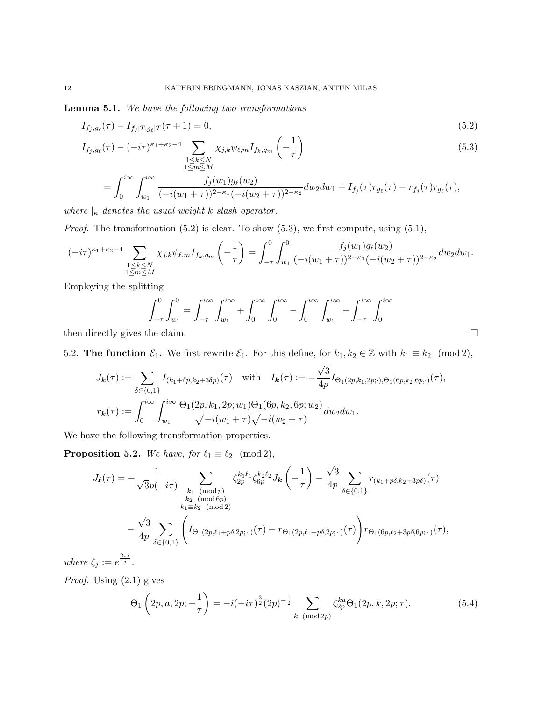Lemma 5.1. We have the following two transformations

$$
I_{f_j,g_\ell}(\tau) - I_{f_j|T,g_\ell|T}(\tau+1) = 0,\t\t(5.2)
$$

$$
I_{f_j,g_\ell}(\tau) - (-i\tau)^{\kappa_1+\kappa_2-4} \sum_{\substack{1 \le k \le N \\ 1 \le m \le M}} \chi_{j,k} \psi_{\ell,m} I_{f_k,g_m}\left(-\frac{1}{\tau}\right) \tag{5.3}
$$

$$
= \int_0^{i\infty} \int_{w_1}^{i\infty} \frac{f_j(w_1)g_\ell(w_2)}{(-i(w_1+\tau))^{2-\kappa_1}(-i(w_2+\tau))^{2-\kappa_2}} dw_2 dw_1 + I_{f_j}(\tau) r_{g_\ell}(\tau) - r_{f_j}(\tau) r_{g_\ell}(\tau),
$$

where  $\vert_{\kappa}$  denotes the usual weight k slash operator.

*Proof.* The transformation  $(5.2)$  is clear. To show  $(5.3)$ , we first compute, using  $(5.1)$ ,

$$
(-i\tau)^{\kappa_1+\kappa_2-4} \sum_{\substack{1\leq k\leq N\\1\leq m\leq M}} \chi_{j,k} \psi_{\ell,m} I_{f_k,g_m}\left(-\frac{1}{\tau}\right) = \int_{-\overline{\tau}}^0 \int_{w_1}^0 \frac{f_j(w_1)g_\ell(w_2)}{(-i(w_1+\tau))^{2-\kappa_1}(-i(w_2+\tau))^{2-\kappa_2}} dw_2 dw_1.
$$

Employing the splitting

$$
\int_{-\overline{\tau}}^{0} \int_{w_1}^{0} = \int_{-\overline{\tau}}^{i\infty} \int_{w_1}^{i\infty} + \int_{0}^{i\infty} \int_{0}^{i\infty} - \int_{0}^{i\infty} \int_{w_1}^{i\infty} - \int_{-\overline{\tau}}^{i\infty} \int_{0}^{i\infty}
$$

then directly gives the claim.

5.2. The function  $\mathcal{E}_1$ . We first rewrite  $\mathcal{E}_1$ . For this define, for  $k_1, k_2 \in \mathbb{Z}$  with  $k_1 \equiv k_2 \pmod{2}$ , √

$$
J_{\mathbf{k}}(\tau) := \sum_{\delta \in \{0,1\}} I_{(k_1 + \delta p, k_2 + 3\delta p)}(\tau) \quad \text{with} \quad I_{\mathbf{k}}(\tau) := -\frac{\sqrt{3}}{4p} I_{\Theta_1(2p, k_1, 2p; \cdot), \Theta_1(6p, k_2, 6p, \cdot)}(\tau),
$$

$$
r_{\mathbf{k}}(\tau) := \int_0^{i\infty} \int_{w_1}^{i\infty} \frac{\Theta_1(2p, k_1, 2p; w_1) \Theta_1(6p, k_2, 6p; w_2)}{\sqrt{-i(w_1 + \tau)} \sqrt{-i(w_2 + \tau)}} dw_2 dw_1.
$$

We have the following transformation properties.

**Proposition 5.2.** We have, for  $\ell_1 \equiv \ell_2 \pmod{2}$ ,

$$
J_{\ell}(\tau) = -\frac{1}{\sqrt{3}p(-i\tau)} \sum_{\substack{k_1 \pmod{p} \\ k_2 \pmod{4p} \\ k_1 \equiv k_2 \pmod{2}}} \zeta_{2p}^{k_1 \ell_1} \zeta_{6p}^{k_2 \ell_2} J_{\mathbf{k}}\left(-\frac{1}{\tau}\right) - \frac{\sqrt{3}}{4p} \sum_{\delta \in \{0,1\}} r_{(k_1+p\delta,k_2+3p\delta)}(\tau) - \frac{\sqrt{3}}{4p} \sum_{\delta \in \{0,1\}} \left( I_{\Theta_1(2p,\ell_1+p\delta,2p;\cdot)}(\tau) - r_{\Theta_1(2p,\ell_1+p\delta,2p;\cdot)}(\tau) \right) r_{\Theta_1(6p,\ell_2+3p\delta,6p;\cdot)}(\tau),
$$

where  $\zeta_j := e^{\frac{2\pi i}{j}}$ .

Proof. Using (2.1) gives

$$
\Theta_1\left(2p, a, 2p; -\frac{1}{\tau}\right) = -i(-i\tau)^{\frac{3}{2}}(2p)^{-\frac{1}{2}} \sum_{k \pmod{2p}} \zeta_{2p}^{ka}\Theta_1(2p, k, 2p; \tau),\tag{5.4}
$$

√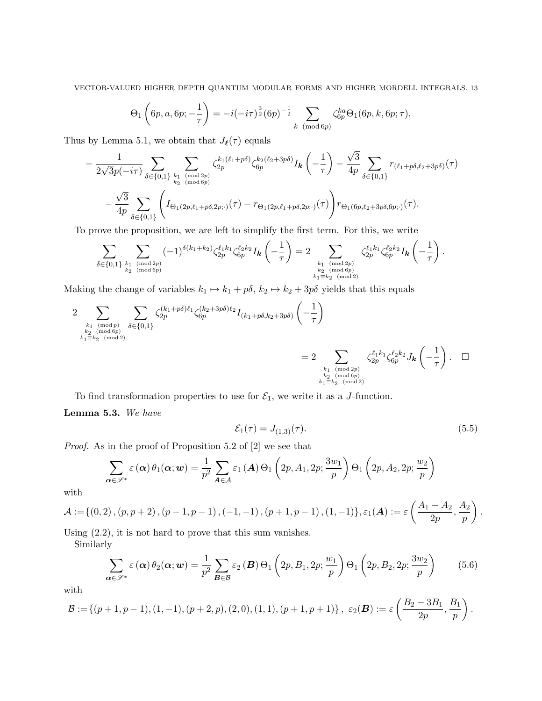$$
\Theta_1\left(6p, a, 6p; -\frac{1}{\tau}\right) = -i(-i\tau)^{\frac{3}{2}}(6p)^{-\frac{1}{2}} \sum_{k \pmod{6p}} \zeta_{6p}^{ka}\Theta_1(6p, k, 6p; \tau).
$$

Thus by Lemma 5.1, we obtain that  $J_{\ell}(\tau)$  equals

$$
-\frac{1}{2\sqrt{3}p(-i\tau)}\sum_{\delta\in\{0,1\}}\sum_{\substack{k_1\pmod{2p}\\k_2\pmod{6p}}}\zeta_{2p}^{k_1(\ell_1+p\delta)}\zeta_{6p}^{k_2(\ell_2+3p\delta)}I_{\mathbf{k}}\left(-\frac{1}{\tau}\right)-\frac{\sqrt{3}}{4p}\sum_{\delta\in\{0,1\}}r_{(\ell_1+p\delta,\ell_2+3p\delta)}(\tau)\\-\frac{\sqrt{3}}{4p}\sum_{\delta\in\{0,1\}}\left(I_{\Theta_1(2p,\ell_1+p\delta,2p;\cdot)}(\tau)-r_{\Theta_1(2p,\ell_1+p\delta,2p;\cdot)}(\tau)\right)r_{\Theta_1(6p,\ell_2+3p\delta,6p;\cdot)}(\tau).
$$

To prove the proposition, we are left to simplify the first term. For this, we write

$$
\sum_{\delta \in \{0,1\}} \sum_{k_1 \pmod{2p} \atop{k_2 \pmod{6p}}} (-1)^{\delta(k_1+k_2)} \zeta_{2p}^{\ell_1 k_1} \zeta_{6p}^{\ell_2 k_2} I_{\mathbf{k}} \left( -\frac{1}{\tau} \right) = 2 \sum_{\substack{k_1 \pmod{2p} \\ k_2 \pmod{6p} \\ k_1 \equiv k_2 \pmod{2}}} \zeta_{2p}^{\ell_1 k_1} \zeta_{6p}^{\ell_2 k_2} I_{\mathbf{k}} \left( -\frac{1}{\tau} \right).
$$

Making the change of variables  $k_1 \mapsto k_1 + p\delta$ ,  $k_2 \mapsto k_2 + 3p\delta$  yields that this equals

$$
2 \sum_{\substack{k_1 \pmod{p} \\ k_2 \pmod{4} \\ k_1 \equiv k_2 \pmod{2}}} \sum_{\delta \in \{0,1\}} \zeta_{2p}^{(k_1+p\delta)\ell_1} \zeta_{6p}^{(k_2+3p\delta)\ell_2} I_{(k_1+p\delta,k_2+3p\delta)} \left( -\frac{1}{\tau} \right)
$$
  

$$
= 2 \sum_{\substack{k_1 \pmod{2p} \\ k_2 \pmod{2}}} \zeta_{2p}^{\ell_1 k_1} \zeta_{6p}^{\ell_2 k_2} J_{\mathbf{k}} \left( -\frac{1}{\tau} \right). \quad \Box
$$

To find transformation properties to use for  $\mathcal{E}_1$ , we write it as a *J*-function.

Lemma 5.3. We have

$$
\mathcal{E}_1(\tau) = J_{(1,3)}(\tau). \tag{5.5}
$$

Proof. As in the proof of Proposition 5.2 of [2] we see that

$$
\sum_{\alpha \in \mathscr{S}^*} \varepsilon(\alpha) \theta_1(\alpha; w) = \frac{1}{p^2} \sum_{\mathbf{A} \in \mathcal{A}} \varepsilon_1(\mathbf{A}) \Theta_1\left(2p, A_1, 2p; \frac{3w_1}{p}\right) \Theta_1\left(2p, A_2, 2p; \frac{w_2}{p}\right)
$$

with

$$
\mathcal{A}:=\{(0,2),(p,p+2),(p-1,p-1),(-1,-1),(p+1,p-1),(1,-1)\},\varepsilon_1(\bm{A}):=\varepsilon\left(\frac{A_1-A_2}{2p},\frac{A_2}{p}\right).
$$

Using (2.2), it is not hard to prove that this sum vanishes.

Similarly

$$
\sum_{\alpha \in \mathscr{S}^*} \varepsilon(\alpha) \theta_2(\alpha; w) = \frac{1}{p^2} \sum_{\mathbf{B} \in \mathcal{B}} \varepsilon_2(\mathbf{B}) \Theta_1\left(2p, B_1, 2p; \frac{w_1}{p}\right) \Theta_1\left(2p, B_2, 2p; \frac{3w_2}{p}\right) \tag{5.6}
$$

with

$$
\mathcal{B} := \left\{ (p+1, p-1), (1, -1), (p+2, p), (2, 0), (1, 1), (p+1, p+1) \right\}, \ \varepsilon_2(\mathcal{B}) := \varepsilon \left( \frac{B_2 - 3B_1}{2p}, \frac{B_1}{p} \right).
$$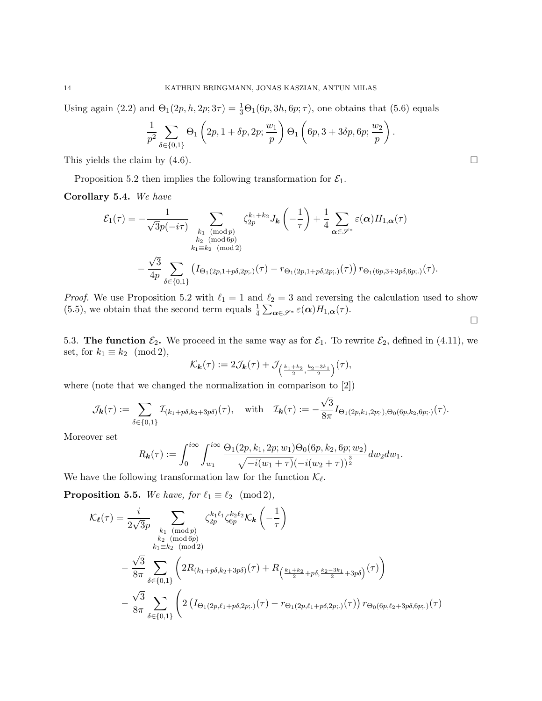Using again (2.2) and  $\Theta_1(2p, h, 2p; 3\tau) = \frac{1}{3}\Theta_1(6p, 3h, 6p; \tau)$ , one obtains that (5.6) equals

$$
\frac{1}{p^2} \sum_{\delta \in \{0,1\}} \Theta_1 \left( 2p, 1 + \delta p, 2p; \frac{w_1}{p} \right) \Theta_1 \left( 6p, 3 + 3\delta p, 6p; \frac{w_2}{p} \right).
$$

This yields the claim by  $(4.6)$ .

Proposition 5.2 then implies the following transformation for  $\mathcal{E}_1$ .

Corollary 5.4. We have

$$
\mathcal{E}_1(\tau) = -\frac{1}{\sqrt{3}p(-i\tau)} \sum_{\substack{k_1 \pmod{p} \\ k_2 \pmod{6p} \\ k_1 \equiv k_2 \pmod{2}}} \zeta_{2p}^{k_1+k_2} J_{\mathbf{k}}\left(-\frac{1}{\tau}\right) + \frac{1}{4} \sum_{\alpha \in \mathscr{S}^*} \varepsilon(\alpha) H_{1,\alpha}(\tau)
$$

$$
- \frac{\sqrt{3}}{4p} \sum_{\delta \in \{0,1\}} \left( I_{\Theta_1(2p,1+p\delta,2p;.)}(\tau) - r_{\Theta_1(2p,1+p\delta,2p;.)}(\tau) \right) r_{\Theta_1(6p,3+3p\delta,6p;.)}(\tau).
$$

*Proof.* We use Proposition 5.2 with  $\ell_1 = 1$  and  $\ell_2 = 3$  and reversing the calculation used to show (5.5), we obtain that the second term equals  $\frac{1}{4} \sum_{\alpha \in \mathscr{S}^*} \varepsilon(\alpha) H_{1,\alpha}(\tau)$ .

 $\Box$ 

5.3. The function  $\mathcal{E}_2$ . We proceed in the same way as for  $\mathcal{E}_1$ . To rewrite  $\mathcal{E}_2$ , defined in (4.11), we set, for  $k_1 \equiv k_2 \pmod{2}$ ,

$$
\mathcal{K}_{\mathbf{k}}(\tau):=2\mathcal{J}_{\mathbf{k}}(\tau)+\mathcal{J}_{\left(\frac{k_1+k_2}{2},\frac{k_2-3k_1}{2}\right)}(\tau),
$$

where (note that we changed the normalization in comparison to [2])

$$
\mathcal{J}_{\bm{k}}(\tau) := \sum_{\delta \in \{0,1\}} \mathcal{I}_{(k_1 + p\delta,k_2 + 3p\delta)}(\tau), \quad \text{with} \quad \mathcal{I}_{\bm{k}}(\tau) := -\frac{\sqrt{3}}{8\pi} I_{\Theta_1(2p,k_1,2p;\cdot),\Theta_0(6p,k_2,6p;\cdot)}(\tau).
$$

Moreover set

$$
R_{\mathbf{k}}(\tau) := \int_0^{i\infty} \int_{w_1}^{i\infty} \frac{\Theta_1(2p, k_1, 2p; w_1) \Theta_0(6p, k_2, 6p; w_2)}{\sqrt{-i(w_1 + \tau)} (-i(w_2 + \tau))^{\frac{3}{2}}} dw_2 dw_1.
$$

We have the following transformation law for the function  $\mathcal{K}_{\ell}$ .

**Proposition 5.5.** We have, for  $\ell_1 \equiv \ell_2 \pmod{2}$ ,

$$
\mathcal{K}_{\ell}(\tau) = \frac{i}{2\sqrt{3}p} \sum_{\substack{k_1 \pmod{p} \\ k_2 \pmod{6p} \\ k_1 \equiv k_2 \pmod{6p}}} \zeta_{2p}^{k_1 \ell_1} \zeta_{6p}^{k_2 \ell_2} \mathcal{K}_{\mathbf{k}} \left( -\frac{1}{\tau} \right) \n- \frac{\sqrt{3}}{8\pi} \sum_{\delta \in \{0,1\}} \left( 2R_{(k_1+p\delta,k_2+3p\delta)}(\tau) + R_{\left(\frac{k_1+k_2}{2}+p\delta,\frac{k_2-3k_1}{2}+3p\delta\right)}(\tau) \right) \n- \frac{\sqrt{3}}{8\pi} \sum_{\delta \in \{0,1\}} \left( 2\left( I_{\Theta_1(2p,\ell_1+p\delta,2p;.)}(\tau) - r_{\Theta_1(2p,\ell_1+p\delta,2p;.)}(\tau) \right) r_{\Theta_0(6p,\ell_2+3p\delta,6p;.)}(\tau) \right)
$$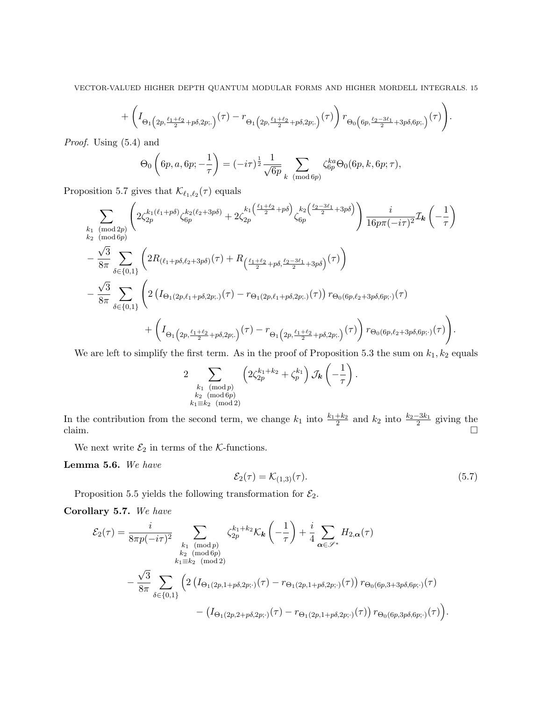$$
+\left(I_{\Theta_{1}\left(2p,\frac{\ell_1+\ell_2}{2}+p\delta,2p;.\right)}(\tau)-r_{\Theta_{1}\left(2p,\frac{\ell_1+\ell_2}{2}+p\delta,2p;.\right)}(\tau)\right)r_{\Theta_{0}\left(6p,\frac{\ell_2-3\ell_1}{2}+3p\delta,6p;.\right)}(\tau)\Bigg)
$$

 $\ddot{\phantom{1}}$ .

Proof. Using (5.4) and

$$
\Theta_0\left(6p, a, 6p; -\frac{1}{\tau}\right) = (-i\tau)^{\frac{1}{2}} \frac{1}{\sqrt{6p}} \sum_{k \pmod{6p}} \zeta_{6p}^{ka} \Theta_0(6p, k, 6p; \tau),
$$

Proposition 5.7 gives that  $\mathcal{K}_{\ell_1,\ell_2}(\tau)$  equals

$$
\sum_{\substack{k_1 \pmod{2p} \\ k_2 \pmod{6p}}} \left( 2\zeta_{2p}^{k_1(\ell_1+p\delta)} \zeta_{6p}^{k_2(\ell_2+3p\delta)} + 2\zeta_{2p}^{k_1(\frac{\ell_1+\ell_2}{2}+p\delta)} \zeta_{6p}^{k_2(\frac{\ell_2-3\ell_1}{2}+3p\delta)} \right) \frac{i}{16p\pi(-i\tau)^2} \mathcal{I}_{\mathbf{k}} \left( -\frac{1}{\tau} \right) \n- \frac{\sqrt{3}}{8\pi} \sum_{\delta \in \{0,1\}} \left( 2R_{(\ell_1+p\delta,\ell_2+3p\delta)}(\tau) + R_{(\frac{\ell_1+\ell_2}{2}+p\delta,\frac{\ell_2-3\ell_1}{2}+3p\delta)}(\tau) \right) \n- \frac{\sqrt{3}}{8\pi} \sum_{\delta \in \{0,1\}} \left( 2\left( I_{\Theta_1(2p,\ell_1+p\delta,2p;.)}(\tau) - r_{\Theta_1(2p,\ell_1+p\delta,2p;.)}(\tau) \right) r_{\Theta_0(6p,\ell_2+3p\delta,6p;.)}(\tau) \n+ \left( I_{\Theta_1(2p,\frac{\ell_1+\ell_2}{2}+p\delta,2p;.)}(\tau) - r_{\Theta_1(2p,\frac{\ell_1+\ell_2}{2}+p\delta,2p;.)}(\tau) \right) r_{\Theta_0(6p,\ell_2+3p\delta,6p;.)}(\tau) \right).
$$

We are left to simplify the first term. As in the proof of Proposition 5.3 the sum on  $k_1, k_2$  equals

$$
2\sum_{\substack{k_1 \pmod{p} \\ k_2 \pmod{6p} \\ k_1 \equiv k_2 \pmod{2}}} \left(2\zeta_{2p}^{k_1+k_2} + \zeta_p^{k_1}\right) \mathcal{J}_{\mathbf{k}}\left(-\frac{1}{\tau}\right).
$$

In the contribution from the second term, we change  $k_1$  into  $\frac{k_1+k_2}{2}$  and  $k_2$  into  $\frac{k_2-3k_1}{2}$  giving the claim.

We next write  $\mathcal{E}_2$  in terms of the K-functions.

Lemma 5.6. We have

$$
\mathcal{E}_2(\tau) = \mathcal{K}_{(1,3)}(\tau). \tag{5.7}
$$

Proposition 5.5 yields the following transformation for  $\mathcal{E}_2$ .

Corollary 5.7. We have

$$
\mathcal{E}_{2}(\tau) = \frac{i}{8\pi p(-i\tau)^{2}} \sum_{\substack{k_{1} \pmod{p} \\ k_{2} \pmod{6p} \\ k_{1} \equiv k_{2} \pmod{6p}}} \zeta_{2p}^{k_{1}+k_{2}} \mathcal{K}_{k} \left( -\frac{1}{\tau} \right) + \frac{i}{4} \sum_{\alpha \in \mathscr{S}^{*}} H_{2,\alpha}(\tau)
$$

$$
- \frac{\sqrt{3}}{8\pi} \sum_{\delta \in \{0,1\}} \left( 2 \left( I_{\Theta_{1}(2p,1+p\delta,2p;\cdot)}(\tau) - r_{\Theta_{1}(2p,1+p\delta,2p;\cdot)}(\tau) \right) r_{\Theta_{0}(6p,3+3p\delta,6p;\cdot)}(\tau) - \left( I_{\Theta_{1}(2p,2+p\delta,2p;\cdot)}(\tau) - r_{\Theta_{1}(2p,1+p\delta,2p;\cdot)}(\tau) \right) r_{\Theta_{0}(6p,3p\delta,6p;\cdot)}(\tau) \right).
$$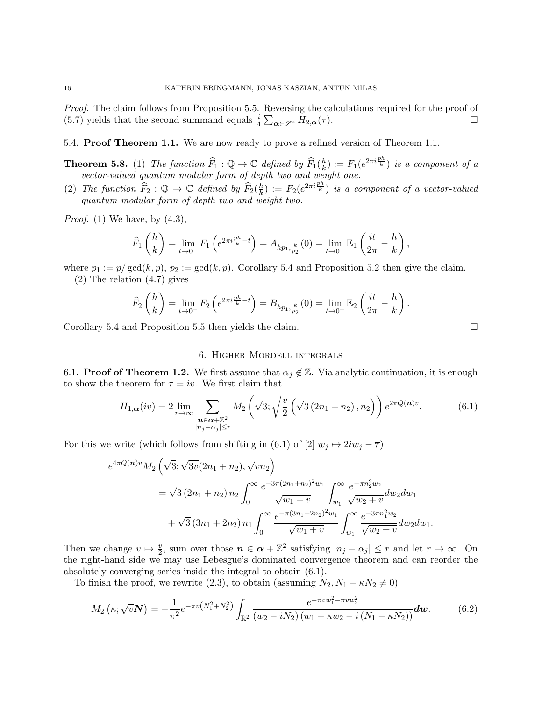Proof. The claim follows from Proposition 5.5. Reversing the calculations required for the proof of (5.7) yields that the second summand equals  $\frac{i}{4} \sum_{\alpha \in \mathscr{S}^*} H_{2,\alpha}(\tau)$ .

5.4. Proof Theorem 1.1. We are now ready to prove a refined version of Theorem 1.1.

- **Theorem 5.8.** (1) The function  $\widehat{F}_1 : \mathbb{Q} \to \mathbb{C}$  defined by  $\widehat{F}_1(\frac{h}{k})$  $\frac{h}{k}$ ) :=  $F_1(e^{2\pi i \frac{ph}{k}})$  is a component of a vector-valued quantum modular form of depth two and weight one.
- (2) The function  $\widehat{F}_2 : \mathbb{Q} \to \mathbb{C}$  defined by  $\widehat{F}_2(\frac{h}{k})$  $\frac{h}{k}$  :=  $F_2(e^{2\pi i \frac{ph}{k}})$  is a component of a vector-valued quantum modular form of depth two and weight two.

*Proof.* (1) We have, by  $(4.3)$ ,

$$
\widehat{F}_1\left(\frac{h}{k}\right) = \lim_{t \to 0^+} F_1\left(e^{2\pi i \frac{ph}{k} - t}\right) = A_{hp_1, \frac{k}{p_2}}(0) = \lim_{t \to 0^+} \mathbb{E}_1\left(\frac{it}{2\pi} - \frac{h}{k}\right),
$$

where  $p_1 := p/\gcd(k, p)$ ,  $p_2 := \gcd(k, p)$ . Corollary 5.4 and Proposition 5.2 then give the claim. (2) The relation (4.7) gives

$$
\widehat{F}_2\left(\frac{h}{k}\right) = \lim_{t \to 0^+} F_2\left(e^{2\pi i \frac{ph}{k} - t}\right) = B_{hp_1, \frac{k}{p_2}}(0) = \lim_{t \to 0^+} \mathbb{E}_2\left(\frac{it}{2\pi} - \frac{h}{k}\right).
$$

Corollary 5.4 and Proposition 5.5 then yields the claim.

# 6. Higher Mordell integrals

6.1. **Proof of Theorem 1.2.** We first assume that  $\alpha_j \notin \mathbb{Z}$ . Via analytic continuation, it is enough to show the theorem for  $\tau = iv$ . We first claim that

$$
H_{1,\alpha}(iv) = 2 \lim_{r \to \infty} \sum_{\substack{n \in \alpha + \mathbb{Z}^2 \\ |n_j - \alpha_j| \le r}} M_2\left(\sqrt{3}; \sqrt{\frac{v}{2}} \left(\sqrt{3}(2n_1 + n_2), n_2\right)\right) e^{2\pi Q(n)v}.
$$
 (6.1)

For this we write (which follows from shifting in (6.1) of [2]  $w_j \mapsto 2iw_j - \overline{\tau}$ )

$$
e^{4\pi Q(n)v} M_2 \left(\sqrt{3}; \sqrt{3v}(2n_1 + n_2), \sqrt{v}n_2\right)
$$
  
=  $\sqrt{3}(2n_1 + n_2) n_2 \int_0^\infty \frac{e^{-3\pi (2n_1 + n_2)^2 w_1}}{\sqrt{w_1 + v}} \int_{w_1}^\infty \frac{e^{-\pi n_2^2 w_2}}{\sqrt{w_2 + v}} dw_2 dw_1$   
+  $\sqrt{3}(3n_1 + 2n_2) n_1 \int_0^\infty \frac{e^{-\pi (3n_1 + 2n_2)^2 w_1}}{\sqrt{w_1 + v}} \int_{w_1}^\infty \frac{e^{-3\pi n_1^2 w_2}}{\sqrt{w_2 + v}} dw_2 dw_1.$ 

Then we change  $v \mapsto \frac{v}{2}$ , sum over those  $n \in \alpha + \mathbb{Z}^2$  satisfying  $|n_j - \alpha_j| \le r$  and let  $r \to \infty$ . On the right-hand side we may use Lebesgue's dominated convergence theorem and can reorder the absolutely converging series inside the integral to obtain (6.1).

To finish the proof, we rewrite (2.3), to obtain (assuming  $N_2, N_1 - \kappa N_2 \neq 0$ )

$$
M_2\left(\kappa;\sqrt{v}N\right) = -\frac{1}{\pi^2}e^{-\pi v\left(N_1^2+N_2^2\right)}\int_{\mathbb{R}^2} \frac{e^{-\pi vw_1^2-\pi vw_2^2}}{\left(w_2-iN_2\right)\left(w_1-\kappa w_2-i\left(N_1-\kappa N_2\right)\right)}d\boldsymbol{w}.\tag{6.2}
$$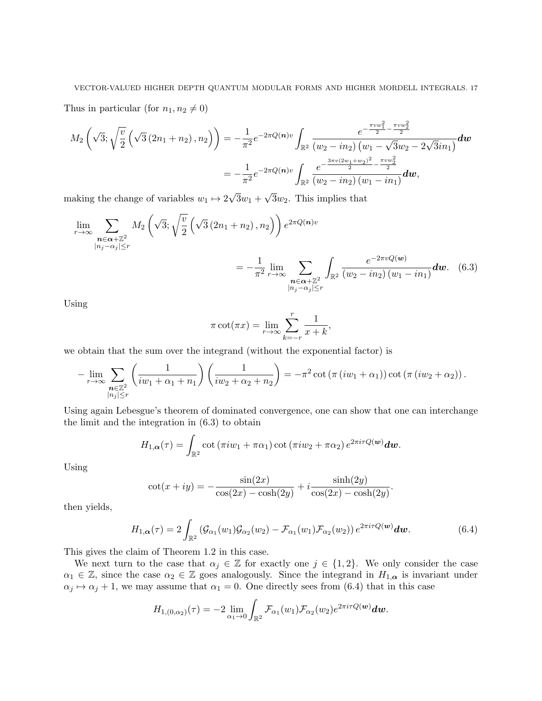Thus in particular (for  $n_1, n_2 \neq 0$ )

$$
M_2\left(\sqrt{3};\sqrt{\frac{v}{2}}\left(\sqrt{3}\left(2n_1+n_2\right),n_2\right)\right) = -\frac{1}{\pi^2}e^{-2\pi Q(n)v}\int_{\mathbb{R}^2} \frac{e^{-\frac{\pi vw_1^2}{2} - \frac{\pi vw_2^2}{2}}}{(w_2 - in_2)\left(w_1 - \sqrt{3}w_2 - 2\sqrt{3}in_1\right)}dw
$$
  
= 
$$
-\frac{1}{\pi^2}e^{-2\pi Q(n)v}\int_{\mathbb{R}^2} \frac{e^{-\frac{3\pi v(2w_1 + w_2)^2}{2} - \frac{\pi vw_2^2}{2}}}{(w_2 - in_2)\left(w_1 - in_1\right)}dw,
$$

making the change of variables  $w_1 \mapsto 2$  $3w_1 +$  $3w_2$ . This implies that

$$
\lim_{r \to \infty} \sum_{\substack{n \in \alpha + \mathbb{Z}^2 \\ |n_j - \alpha_j| \le r}} M_2 \left( \sqrt{3}; \sqrt{\frac{v}{2}} \left( \sqrt{3} \left( 2n_1 + n_2 \right), n_2 \right) \right) e^{2\pi Q(n)v} \\
= -\frac{1}{\pi^2} \lim_{r \to \infty} \sum_{\substack{n \in \alpha + \mathbb{Z}^2 \\ |n_j - \alpha_j| \le r}} \int_{\mathbb{R}^2} \frac{e^{-2\pi v Q(w)}}{(w_2 - in_2) \left( w_1 - in_1 \right)} dw. \tag{6.3}
$$

Using

$$
\pi \cot(\pi x) = \lim_{r \to \infty} \sum_{k=-r}^{r} \frac{1}{x+k},
$$

we obtain that the sum over the integrand (without the exponential factor) is

$$
-\lim_{r\to\infty}\sum_{\substack{\mathbf{n}\in\mathbb{Z}^2\\|n_j|\leq r}}\left(\frac{1}{iw_1+\alpha_1+n_1}\right)\left(\frac{1}{iw_2+\alpha_2+n_2}\right)=-\pi^2\cot\left(\pi(iw_1+\alpha_1)\right)\cot\left(\pi(iw_2+\alpha_2)\right).
$$

Using again Lebesgue's theorem of dominated convergence, one can show that one can interchange the limit and the integration in (6.3) to obtain

$$
H_{1,\alpha}(\tau)=\int_{\mathbb{R}^2}\cot\left(\pi iw_1+\pi\alpha_1\right)\cot\left(\pi iw_2+\pi\alpha_2\right)e^{2\pi i\tau Q(\boldsymbol{w})}\boldsymbol{dw}.
$$

Using

$$
\cot(x + iy) = -\frac{\sin(2x)}{\cos(2x) - \cosh(2y)} + i \frac{\sinh(2y)}{\cos(2x) - \cosh(2y)}.
$$

then yields,

$$
H_{1,\alpha}(\tau) = 2 \int_{\mathbb{R}^2} \left( \mathcal{G}_{\alpha_1}(w_1) \mathcal{G}_{\alpha_2}(w_2) - \mathcal{F}_{\alpha_1}(w_1) \mathcal{F}_{\alpha_2}(w_2) \right) e^{2\pi i \tau Q(\boldsymbol{w})} d\boldsymbol{w}.
$$
 (6.4)

This gives the claim of Theorem 1.2 in this case.

We next turn to the case that  $\alpha_j \in \mathbb{Z}$  for exactly one  $j \in \{1,2\}$ . We only consider the case  $\alpha_1 \in \mathbb{Z}$ , since the case  $\alpha_2 \in \mathbb{Z}$  goes analogously. Since the integrand in  $H_{1,\alpha}$  is invariant under  $\alpha_j \mapsto \alpha_j + 1$ , we may assume that  $\alpha_1 = 0$ . One directly sees from (6.4) that in this case

$$
H_{1,(0,\alpha_2)}(\tau)=-2\lim_{\alpha_1\to 0}\int_{\mathbb{R}^2}\mathcal{F}_{\alpha_1}(w_1)\mathcal{F}_{\alpha_2}(w_2)e^{2\pi i \tau Q(\boldsymbol{w})}\boldsymbol{dw}.
$$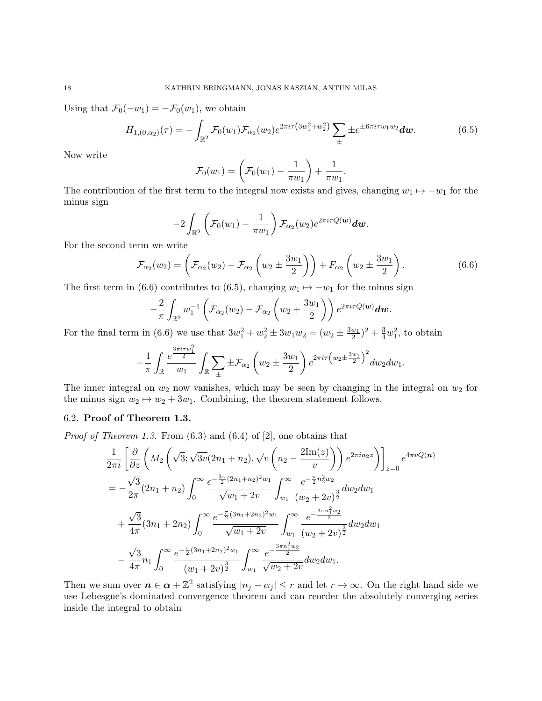Using that  $\mathcal{F}_0(-w_1) = -\mathcal{F}_0(w_1)$ , we obtain

$$
H_{1,(0,\alpha_2)}(\tau) = -\int_{\mathbb{R}^2} \mathcal{F}_0(w_1) \mathcal{F}_{\alpha_2}(w_2) e^{2\pi i \tau (3w_1^2 + w_2^2)} \sum_{\pm} \pm e^{\pm 6\pi i \tau w_1 w_2} dw.
$$
 (6.5)

.

Now write

$$
\mathcal{F}_0(w_1) = \left(\mathcal{F}_0(w_1) - \frac{1}{\pi w_1}\right) + \frac{1}{\pi w_1}
$$

The contribution of the first term to the integral now exists and gives, changing  $w_1 \mapsto -w_1$  for the minus sign

$$
-2\int_{\mathbb{R}^2}\left(\mathcal{F}_0(w_1)-\frac{1}{\pi w_1}\right)\mathcal{F}_{\alpha_2}(w_2)e^{2\pi i \tau Q(\boldsymbol{w})}\boldsymbol{dw}.
$$

For the second term we write

$$
\mathcal{F}_{\alpha_2}(w_2) = \left(\mathcal{F}_{\alpha_2}(w_2) - \mathcal{F}_{\alpha_2}\left(w_2 \pm \frac{3w_1}{2}\right)\right) + F_{\alpha_2}\left(w_2 \pm \frac{3w_1}{2}\right). \tag{6.6}
$$

The first term in (6.6) contributes to (6.5), changing  $w_1 \mapsto -w_1$  for the minus sign

$$
-\frac{2}{\pi}\int_{\mathbb{R}^2}w_1^{-1}\left(\mathcal{F}_{\alpha_2}(w_2)-\mathcal{F}_{\alpha_2}\left(w_2+\frac{3w_1}{2}\right)\right)e^{2\pi i\tau Q(\boldsymbol{w})}\boldsymbol{dw}.
$$

For the final term in (6.6) we use that  $3w_1^2 + w_2^2 \pm 3w_1w_2 = (w_2 \pm \frac{3w_1}{2})^2 + \frac{3}{4}w_1^2$ , to obtain

$$
-\frac{1}{\pi} \int_{\mathbb{R}} \frac{e^{\frac{3\pi i \tau w_1^2}{2}}}{w_1} \int_{\mathbb{R}} \sum_{\pm} \pm \mathcal{F}_{\alpha_2} \left(w_2 \pm \frac{3w_1}{2}\right) e^{2\pi i \tau \left(w_2 \pm \frac{3w_1}{2}\right)^2} dw_2 dw_1.
$$

The inner integral on  $w_2$  now vanishes, which may be seen by changing in the integral on  $w_2$  for the minus sign  $w_2 \mapsto w_2 + 3w_1$ . Combining, the theorem statement follows.

# 6.2. Proof of Theorem 1.3.

*Proof of Theorem 1.3.* From  $(6.3)$  and  $(6.4)$  of  $[2]$ , one obtains that

$$
\frac{1}{2\pi i} \left[ \frac{\partial}{\partial z} \left( M_2 \left( \sqrt{3}; \sqrt{3v} (2n_1 + n_2), \sqrt{v} \left( n_2 - \frac{2\text{Im}(z)}{v} \right) \right) e^{2\pi i n_2 z} \right) \right]_{z=0} e^{4\pi v Q(n)}
$$
\n
$$
= -\frac{\sqrt{3}}{2\pi} (2n_1 + n_2) \int_0^\infty \frac{e^{-\frac{3\pi}{2} (2n_1 + n_2)^2 w_1}}{\sqrt{w_1 + 2v}} \int_{w_1}^\infty \frac{e^{-\frac{\pi}{2} n_2^2 w_2}}{(w_2 + 2v)^{\frac{3}{2}}} dw_2 dw_1
$$
\n
$$
+ \frac{\sqrt{3}}{4\pi} (3n_1 + 2n_2) \int_0^\infty \frac{e^{-\frac{\pi}{2} (3n_1 + 2n_2)^2 w_1}}{\sqrt{w_1 + 2v}} \int_{w_1}^\infty \frac{e^{-\frac{3\pi n_1^2 w_2}{2}}}{(w_2 + 2v)^{\frac{3}{2}}} dw_2 dw_1
$$
\n
$$
- \frac{\sqrt{3}}{4\pi} n_1 \int_0^\infty \frac{e^{-\frac{\pi}{2} (3n_1 + 2n_2)^2 w_1}}{(w_1 + 2v)^{\frac{3}{2}}} \int_{w_1}^\infty \frac{e^{-\frac{3\pi n_1^2 w_2}{2}}}{\sqrt{w_2 + 2v}} dw_2 dw_1.
$$

Then we sum over  $n \in \alpha + \mathbb{Z}^2$  satisfying  $|n_j - \alpha_j| \leq r$  and let  $r \to \infty$ . On the right hand side we use Lebesgue's dominated convergence theorem and can reorder the absolutely converging series inside the integral to obtain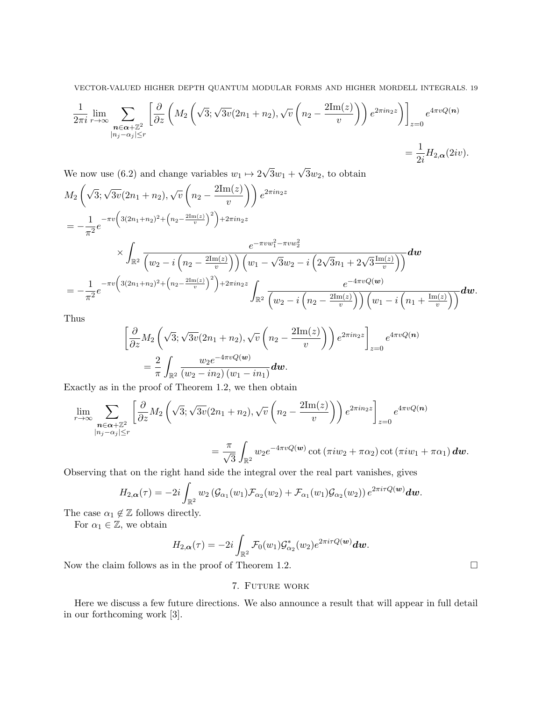$$
\frac{1}{2\pi i} \lim_{r \to \infty} \sum_{\substack{\mathbf{n} \in \alpha + \mathbb{Z}^2 \\ |n_j - \alpha_j| \le r}} \left[ \frac{\partial}{\partial z} \left( M_2 \left( \sqrt{3}; \sqrt{3v} (2n_1 + n_2), \sqrt{v} \left( n_2 - \frac{2\mathrm{Im}(z)}{v} \right) \right) e^{2\pi i n_2 z} \right) \right]_{z=0} e^{4\pi v Q(\mathbf{n})}
$$
\n
$$
= \frac{1}{2i} H_{2,\alpha}(2iv).
$$

We now use (6.2) and change variables  $w_1 \mapsto 2$ √  $3w_1 +$ √  $3w_2$ , to obtain

$$
M_{2}\left(\sqrt{3};\sqrt{3v}(2n_{1}+n_{2}),\sqrt{v}\left(n_{2}-\frac{2\mathrm{Im}(z)}{v}\right)\right)e^{2\pi in_{2}z}
$$
\n
$$
=-\frac{1}{\pi^{2}}e^{-\pi v\left(3(2n_{1}+n_{2})^{2}+\left(n_{2}-\frac{2\mathrm{Im}(z)}{v}\right)^{2}\right)+2\pi in_{2}z}
$$
\n
$$
\times \int_{\mathbb{R}^{2}}\frac{e^{-\pi vw_{1}^{2}-\pi vw_{2}^{2}}}{\left(w_{2}-i\left(n_{2}-\frac{2\mathrm{Im}(z)}{v}\right)\right)\left(w_{1}-\sqrt{3}w_{2}-i\left(2\sqrt{3}n_{1}+2\sqrt{3}\frac{\mathrm{Im}(z)}{v}\right)\right)}dw
$$
\n
$$
=-\frac{1}{\pi^{2}}e^{-\pi v\left(3(2n_{1}+n_{2})^{2}+\left(n_{2}-\frac{2\mathrm{Im}(z)}{v}\right)^{2}\right)+2\pi in_{2}z}\int_{\mathbb{R}^{2}}\frac{e^{-4\pi vQ(w)}}{\left(w_{2}-i\left(n_{2}-\frac{2\mathrm{Im}(z)}{v}\right)\right)\left(w_{1}-i\left(n_{1}+\frac{\mathrm{Im}(z)}{v}\right)\right)}dw.
$$

Thus

$$
\left[\frac{\partial}{\partial z}M_2\left(\sqrt{3};\sqrt{3v}(2n_1+n_2),\sqrt{v}\left(n_2-\frac{2\mathrm{Im}(z)}{v}\right)\right)e^{2\pi in_2 z}\right]_{z=0}e^{4\pi vQ(n)}
$$

$$
=\frac{2}{\pi}\int_{\mathbb{R}^2}\frac{w_2e^{-4\pi vQ(w)}}{(w_2-in_2)(w_1-in_1)}dw.
$$

Exactly as in the proof of Theorem 1.2, we then obtain

$$
\lim_{r \to \infty} \sum_{\substack{\mathbf{n} \in \alpha + \mathbb{Z}^2 \\ |n_j - \alpha_j| \le r}} \left[ \frac{\partial}{\partial z} M_2 \left( \sqrt{3}; \sqrt{3v} (2n_1 + n_2), \sqrt{v} \left( n_2 - \frac{2 \text{Im}(z)}{v} \right) \right) e^{2\pi i n_2 z} \right]_{z=0} e^{4\pi v Q(\mathbf{n})}
$$
\n
$$
= \frac{\pi}{\sqrt{3}} \int_{\mathbb{R}^2} w_2 e^{-4\pi v Q(\mathbf{w})} \cot(\pi i w_2 + \pi \alpha_2) \cot(\pi i w_1 + \pi \alpha_1) d\mathbf{w}.
$$

Observing that on the right hand side the integral over the real part vanishes, gives

$$
H_{2,\boldsymbol{\alpha}}(\tau) = -2i \int_{\mathbb{R}^2} w_2 \left( \mathcal{G}_{\alpha_1}(w_1) \mathcal{F}_{\alpha_2}(w_2) + \mathcal{F}_{\alpha_1}(w_1) \mathcal{G}_{\alpha_2}(w_2) \right) e^{2\pi i \tau Q(\boldsymbol{w})} d\boldsymbol{w}.
$$

The case  $\alpha_1 \notin \mathbb{Z}$  follows directly.

For  $\alpha_1 \in \mathbb{Z}$ , we obtain

$$
H_{2,\alpha}(\tau) = -2i \int_{\mathbb{R}^2} \mathcal{F}_0(w_1) \mathcal{G}_{\alpha_2}^*(w_2) e^{2\pi i \tau Q(\boldsymbol{w})} d\boldsymbol{w}.
$$

Now the claim follows as in the proof of Theorem 1.2.  $\Box$ 

# 7. Future work

Here we discuss a few future directions. We also announce a result that will appear in full detail in our forthcoming work [3].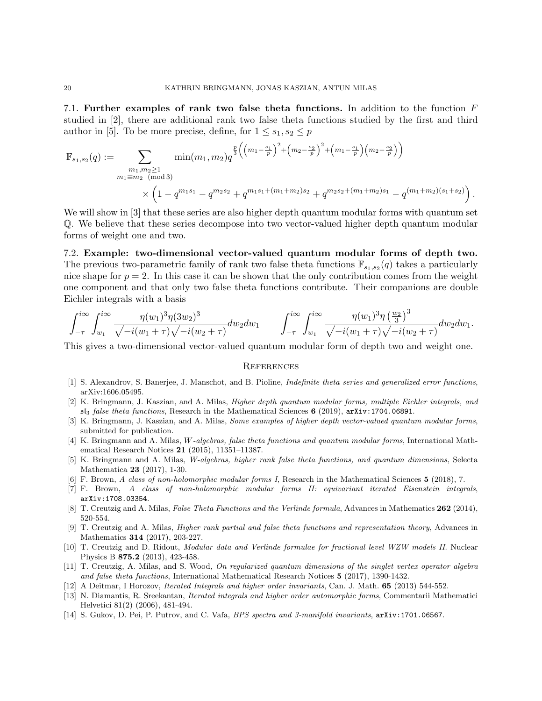7.1. Further examples of rank two false theta functions. In addition to the function F studied in [2], there are additional rank two false theta functions studied by the first and third author in [5]. To be more precise, define, for  $1 \leq s_1, s_2 \leq p$ 

$$
\mathbb{F}_{s_1, s_2}(q) := \sum_{\substack{m_1, m_2 \ge 1 \\ m_1 \equiv m_2 \pmod{3}}} \min(m_1, m_2) q^{\frac{p}{3} \left( \left(m_1 - \frac{s_1}{p}\right)^2 + \left(m_2 - \frac{s_2}{p}\right)^2 + \left(m_1 - \frac{s_1}{p}\right) \left(m_2 - \frac{s_2}{p}\right) \right)} \times \left(1 - q^{m_1 s_1} - q^{m_2 s_2} + q^{m_1 s_1 + \left(m_1 + m_2\right) s_2} + q^{m_2 s_2 + \left(m_1 + m_2\right) s_1} - q^{(m_1 + m_2)(s_1 + s_2)}\right).
$$

We will show in [3] that these series are also higher depth quantum modular forms with quantum set Q. We believe that these series decompose into two vector-valued higher depth quantum modular forms of weight one and two.

# 7.2. Example: two-dimensional vector-valued quantum modular forms of depth two. The previous two-parametric family of rank two false theta functions  $\mathbb{F}_{s_1,s_2}(q)$  takes a particularly nice shape for  $p = 2$ . In this case it can be shown that the only contribution comes from the weight one component and that only two false theta functions contribute. Their companions are double Eichler integrals with a basis

$$
\int_{-\overline{\tau}}^{i\infty} \int_{w_1}^{i\infty} \frac{\eta(w_1)^3 \eta(3w_2)^3}{\sqrt{-i(w_1+\tau)}\sqrt{-i(w_2+\tau)}} dw_2 dw_1 \qquad \int_{-\overline{\tau}}^{i\infty} \int_{w_1}^{i\infty} \frac{\eta(w_1)^3 \eta(\frac{w_2}{3})^3}{\sqrt{-i(w_1+\tau)}\sqrt{-i(w_2+\tau)}} dw_2 dw_1.
$$

This gives a two-dimensional vector-valued quantum modular form of depth two and weight one.

### **REFERENCES**

- [1] S. Alexandrov, S. Banerjee, J. Manschot, and B. Pioline, Indefinite theta series and generalized error functions, arXiv:1606.05495.
- [2] K. Bringmann, J. Kaszian, and A. Milas, Higher depth quantum modular forms, multiple Eichler integrals, and  $sI<sub>3</sub>$  false theta functions, Research in the Mathematical Sciences 6 (2019), arXiv:1704.06891.
- [3] K. Bringmann, J. Kaszian, and A. Milas, *Some examples of higher depth vector-valued quantum modular forms*, submitted for publication.
- [4] K. Bringmann and A. Milas, W-algebras, false theta functions and quantum modular forms, International Mathematical Research Notices 21 (2015), 11351–11387.
- [5] K. Bringmann and A. Milas, W-algebras, higher rank false theta functions, and quantum dimensions, Selecta Mathematica 23 (2017), 1-30.
- [6] F. Brown, A class of non-holomorphic modular forms I, Research in the Mathematical Sciences 5 (2018), 7.
- [7] F. Brown, A class of non-holomorphic modular forms II: equivariant iterated Eisenstein integrals, arXiv:1708.03354.
- [8] T. Creutzig and A. Milas, False Theta Functions and the Verlinde formula, Advances in Mathematics 262 (2014), 520-554.
- [9] T. Creutzig and A. Milas, Higher rank partial and false theta functions and representation theory, Advances in Mathematics 314 (2017), 203-227.
- [10] T. Creutzig and D. Ridout, Modular data and Verlinde formulae for fractional level WZW models II. Nuclear Physics B 875.2 (2013), 423-458.
- [11] T. Creutzig, A. Milas, and S. Wood, On regularized quantum dimensions of the singlet vertex operator algebra and false theta functions, International Mathematical Research Notices 5 (2017), 1390-1432.
- [12] A Deitmar, I Horozov, *Iterated Integrals and higher order invariants*, Can. J. Math. **65** (2013) 544-552.
- [13] N. Diamantis, R. Sreekantan, Iterated integrals and higher order automorphic forms, Commentarii Mathematici Helvetici 81(2) (2006), 481-494.
- [14] S. Gukov, D. Pei, P. Putrov, and C. Vafa, BPS spectra and 3-manifold invariants, arXiv:1701.06567.